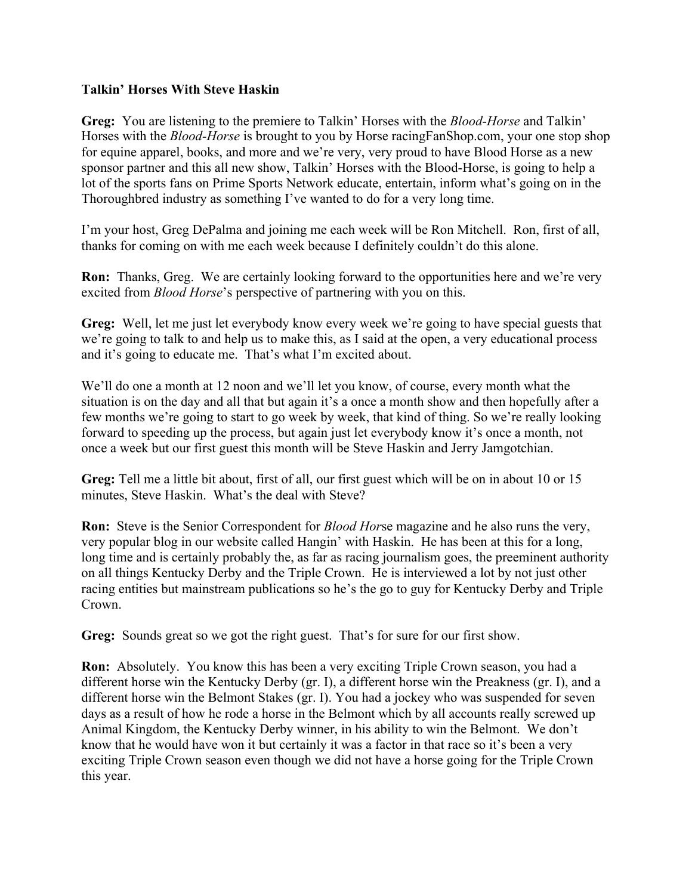## **Talkin' Horses With Steve Haskin**

**Greg:** You are listening to the premiere to Talkin' Horses with the *Blood-Horse* and Talkin' Horses with the *Blood-Horse* is brought to you by Horse racingFanShop.com, your one stop shop for equine apparel, books, and more and we're very, very proud to have Blood Horse as a new sponsor partner and this all new show, Talkin' Horses with the Blood-Horse, is going to help a lot of the sports fans on Prime Sports Network educate, entertain, inform what's going on in the Thoroughbred industry as something I've wanted to do for a very long time.

I'm your host, Greg DePalma and joining me each week will be Ron Mitchell. Ron, first of all, thanks for coming on with me each week because I definitely couldn't do this alone.

**Ron:** Thanks, Greg. We are certainly looking forward to the opportunities here and we're very excited from *Blood Horse*'s perspective of partnering with you on this.

**Greg:** Well, let me just let everybody know every week we're going to have special guests that we're going to talk to and help us to make this, as I said at the open, a very educational process and it's going to educate me. That's what I'm excited about.

We'll do one a month at 12 noon and we'll let you know, of course, every month what the situation is on the day and all that but again it's a once a month show and then hopefully after a few months we're going to start to go week by week, that kind of thing. So we're really looking forward to speeding up the process, but again just let everybody know it's once a month, not once a week but our first guest this month will be Steve Haskin and Jerry Jamgotchian.

**Greg:** Tell me a little bit about, first of all, our first guest which will be on in about 10 or 15 minutes, Steve Haskin. What's the deal with Steve?

**Ron:** Steve is the Senior Correspondent for *Blood Hor*se magazine and he also runs the very, very popular blog in our website called Hangin' with Haskin. He has been at this for a long, long time and is certainly probably the, as far as racing journalism goes, the preeminent authority on all things Kentucky Derby and the Triple Crown. He is interviewed a lot by not just other racing entities but mainstream publications so he's the go to guy for Kentucky Derby and Triple Crown.

**Greg:** Sounds great so we got the right guest. That's for sure for our first show.

**Ron:** Absolutely. You know this has been a very exciting Triple Crown season, you had a different horse win the Kentucky Derby (gr. I), a different horse win the Preakness (gr. I), and a different horse win the Belmont Stakes (gr. I). You had a jockey who was suspended for seven days as a result of how he rode a horse in the Belmont which by all accounts really screwed up Animal Kingdom, the Kentucky Derby winner, in his ability to win the Belmont. We don't know that he would have won it but certainly it was a factor in that race so it's been a very exciting Triple Crown season even though we did not have a horse going for the Triple Crown this year.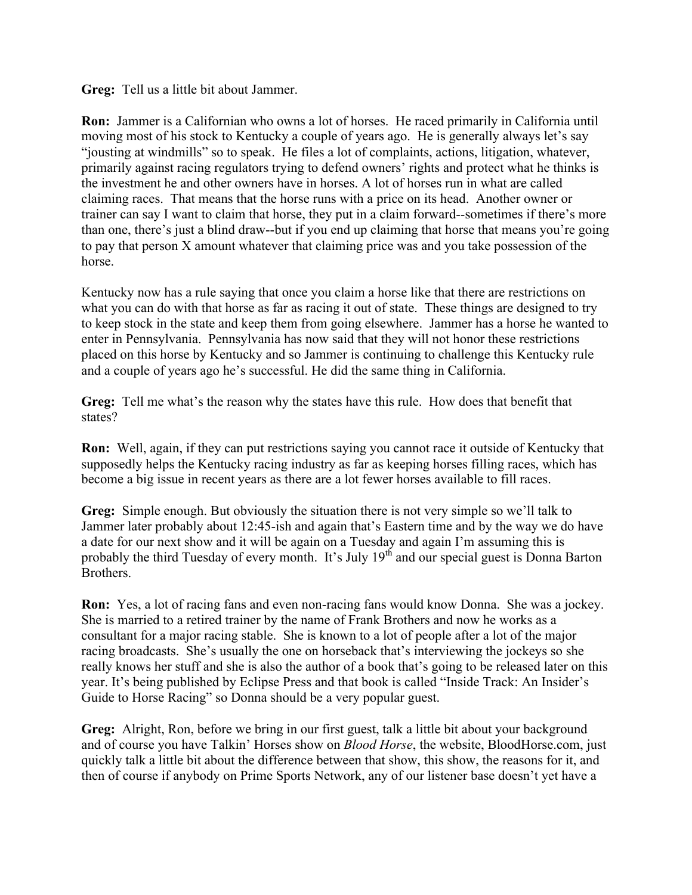**Greg:** Tell us a little bit about Jammer.

**Ron:** Jammer is a Californian who owns a lot of horses. He raced primarily in California until moving most of his stock to Kentucky a couple of years ago. He is generally always let's say "jousting at windmills" so to speak. He files a lot of complaints, actions, litigation, whatever, primarily against racing regulators trying to defend owners' rights and protect what he thinks is the investment he and other owners have in horses. A lot of horses run in what are called claiming races. That means that the horse runs with a price on its head. Another owner or trainer can say I want to claim that horse, they put in a claim forward--sometimes if there's more than one, there's just a blind draw--but if you end up claiming that horse that means you're going to pay that person X amount whatever that claiming price was and you take possession of the horse.

Kentucky now has a rule saying that once you claim a horse like that there are restrictions on what you can do with that horse as far as racing it out of state. These things are designed to try to keep stock in the state and keep them from going elsewhere. Jammer has a horse he wanted to enter in Pennsylvania. Pennsylvania has now said that they will not honor these restrictions placed on this horse by Kentucky and so Jammer is continuing to challenge this Kentucky rule and a couple of years ago he's successful. He did the same thing in California.

**Greg:** Tell me what's the reason why the states have this rule. How does that benefit that states?

**Ron:** Well, again, if they can put restrictions saying you cannot race it outside of Kentucky that supposedly helps the Kentucky racing industry as far as keeping horses filling races, which has become a big issue in recent years as there are a lot fewer horses available to fill races.

**Greg:** Simple enough. But obviously the situation there is not very simple so we'll talk to Jammer later probably about 12:45-ish and again that's Eastern time and by the way we do have a date for our next show and it will be again on a Tuesday and again I'm assuming this is probably the third Tuesday of every month. It's July  $19<sup>th</sup>$  and our special guest is Donna Barton Brothers.

**Ron:** Yes, a lot of racing fans and even non-racing fans would know Donna. She was a jockey. She is married to a retired trainer by the name of Frank Brothers and now he works as a consultant for a major racing stable. She is known to a lot of people after a lot of the major racing broadcasts. She's usually the one on horseback that's interviewing the jockeys so she really knows her stuff and she is also the author of a book that's going to be released later on this year. It's being published by Eclipse Press and that book is called "Inside Track: An Insider's Guide to Horse Racing" so Donna should be a very popular guest.

**Greg:** Alright, Ron, before we bring in our first guest, talk a little bit about your background and of course you have Talkin' Horses show on *Blood Horse*, the website, BloodHorse.com, just quickly talk a little bit about the difference between that show, this show, the reasons for it, and then of course if anybody on Prime Sports Network, any of our listener base doesn't yet have a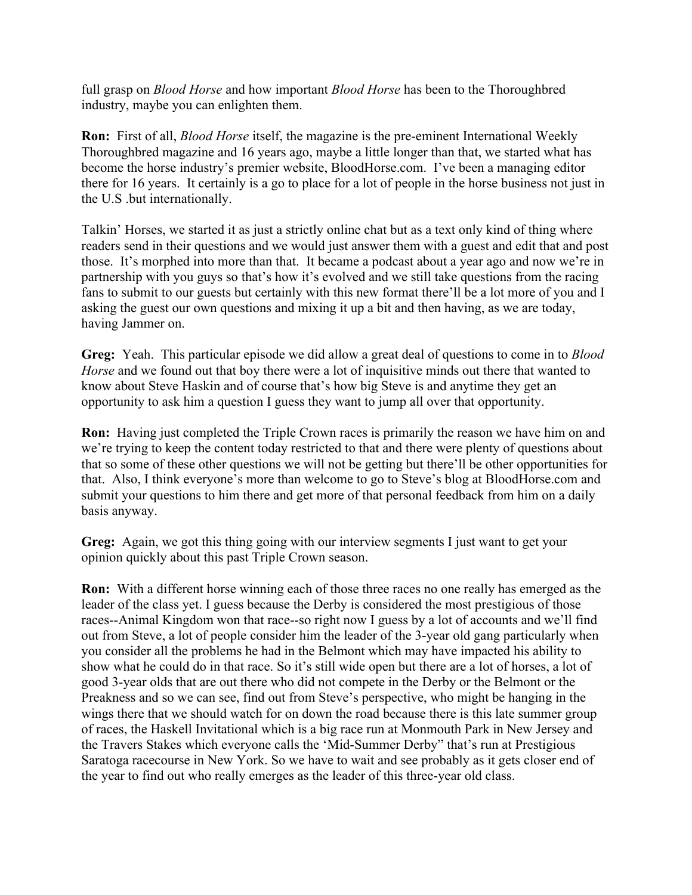full grasp on *Blood Horse* and how important *Blood Horse* has been to the Thoroughbred industry, maybe you can enlighten them.

**Ron:** First of all, *Blood Horse* itself, the magazine is the pre-eminent International Weekly Thoroughbred magazine and 16 years ago, maybe a little longer than that, we started what has become the horse industry's premier website, BloodHorse.com. I've been a managing editor there for 16 years. It certainly is a go to place for a lot of people in the horse business not just in the U.S .but internationally.

Talkin' Horses, we started it as just a strictly online chat but as a text only kind of thing where readers send in their questions and we would just answer them with a guest and edit that and post those. It's morphed into more than that. It became a podcast about a year ago and now we're in partnership with you guys so that's how it's evolved and we still take questions from the racing fans to submit to our guests but certainly with this new format there'll be a lot more of you and I asking the guest our own questions and mixing it up a bit and then having, as we are today, having Jammer on.

**Greg:** Yeah. This particular episode we did allow a great deal of questions to come in to *Blood Horse* and we found out that boy there were a lot of inquisitive minds out there that wanted to know about Steve Haskin and of course that's how big Steve is and anytime they get an opportunity to ask him a question I guess they want to jump all over that opportunity.

**Ron:** Having just completed the Triple Crown races is primarily the reason we have him on and we're trying to keep the content today restricted to that and there were plenty of questions about that so some of these other questions we will not be getting but there'll be other opportunities for that. Also, I think everyone's more than welcome to go to Steve's blog at BloodHorse.com and submit your questions to him there and get more of that personal feedback from him on a daily basis anyway.

**Greg:** Again, we got this thing going with our interview segments I just want to get your opinion quickly about this past Triple Crown season.

**Ron:** With a different horse winning each of those three races no one really has emerged as the leader of the class yet. I guess because the Derby is considered the most prestigious of those races--Animal Kingdom won that race--so right now I guess by a lot of accounts and we'll find out from Steve, a lot of people consider him the leader of the 3-year old gang particularly when you consider all the problems he had in the Belmont which may have impacted his ability to show what he could do in that race. So it's still wide open but there are a lot of horses, a lot of good 3-year olds that are out there who did not compete in the Derby or the Belmont or the Preakness and so we can see, find out from Steve's perspective, who might be hanging in the wings there that we should watch for on down the road because there is this late summer group of races, the Haskell Invitational which is a big race run at Monmouth Park in New Jersey and the Travers Stakes which everyone calls the 'Mid-Summer Derby" that's run at Prestigious Saratoga racecourse in New York. So we have to wait and see probably as it gets closer end of the year to find out who really emerges as the leader of this three-year old class.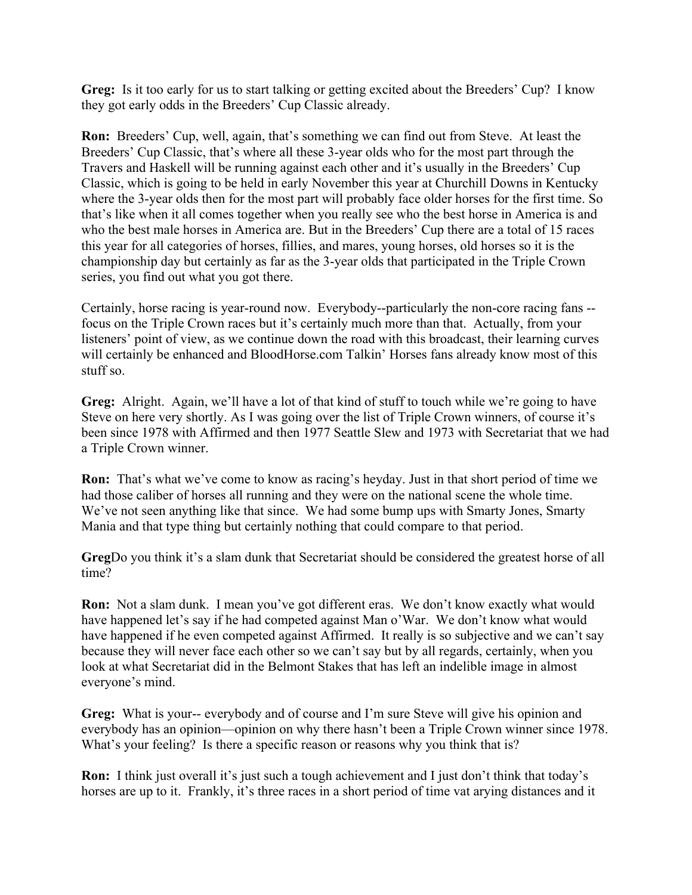**Greg:** Is it too early for us to start talking or getting excited about the Breeders' Cup? I know they got early odds in the Breeders' Cup Classic already.

**Ron:** Breeders' Cup, well, again, that's something we can find out from Steve. At least the Breeders' Cup Classic, that's where all these 3-year olds who for the most part through the Travers and Haskell will be running against each other and it's usually in the Breeders' Cup Classic, which is going to be held in early November this year at Churchill Downs in Kentucky where the 3-year olds then for the most part will probably face older horses for the first time. So that's like when it all comes together when you really see who the best horse in America is and who the best male horses in America are. But in the Breeders' Cup there are a total of 15 races this year for all categories of horses, fillies, and mares, young horses, old horses so it is the championship day but certainly as far as the 3-year olds that participated in the Triple Crown series, you find out what you got there.

Certainly, horse racing is year-round now. Everybody--particularly the non-core racing fans - focus on the Triple Crown races but it's certainly much more than that. Actually, from your listeners' point of view, as we continue down the road with this broadcast, their learning curves will certainly be enhanced and BloodHorse.com Talkin' Horses fans already know most of this stuff so.

**Greg:** Alright. Again, we'll have a lot of that kind of stuff to touch while we're going to have Steve on here very shortly. As I was going over the list of Triple Crown winners, of course it's been since 1978 with Affirmed and then 1977 Seattle Slew and 1973 with Secretariat that we had a Triple Crown winner.

**Ron:** That's what we've come to know as racing's heyday. Just in that short period of time we had those caliber of horses all running and they were on the national scene the whole time. We've not seen anything like that since. We had some bump ups with Smarty Jones, Smarty Mania and that type thing but certainly nothing that could compare to that period.

**Greg**Do you think it's a slam dunk that Secretariat should be considered the greatest horse of all time?

**Ron:** Not a slam dunk. I mean you've got different eras. We don't know exactly what would have happened let's say if he had competed against Man o'War. We don't know what would have happened if he even competed against Affirmed. It really is so subjective and we can't say because they will never face each other so we can't say but by all regards, certainly, when you look at what Secretariat did in the Belmont Stakes that has left an indelible image in almost everyone's mind.

**Greg:** What is your-- everybody and of course and I'm sure Steve will give his opinion and everybody has an opinion—opinion on why there hasn't been a Triple Crown winner since 1978. What's your feeling? Is there a specific reason or reasons why you think that is?

**Ron:** I think just overall it's just such a tough achievement and I just don't think that today's horses are up to it. Frankly, it's three races in a short period of time vat arying distances and it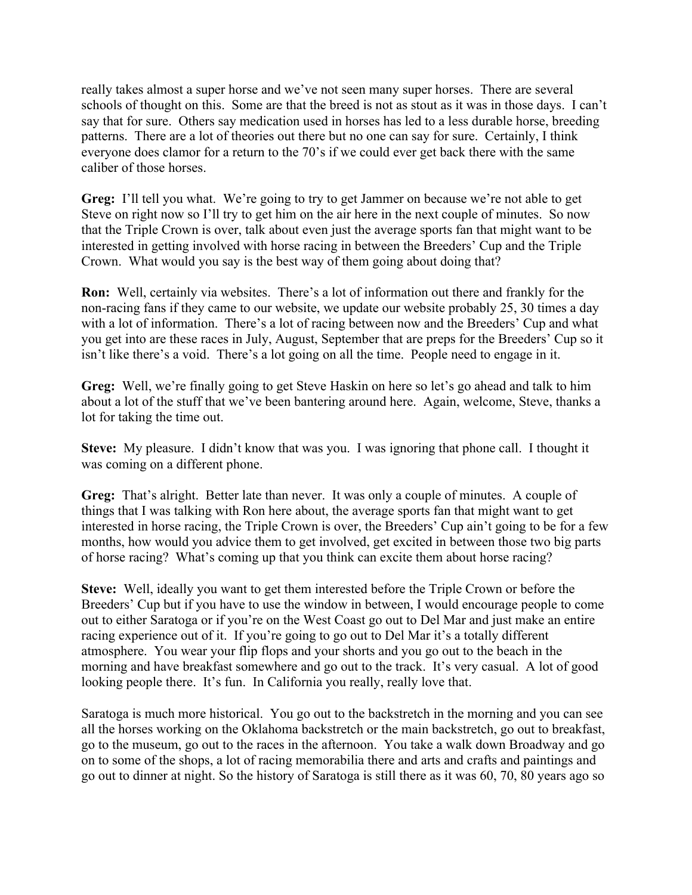really takes almost a super horse and we've not seen many super horses. There are several schools of thought on this. Some are that the breed is not as stout as it was in those days. I can't say that for sure. Others say medication used in horses has led to a less durable horse, breeding patterns. There are a lot of theories out there but no one can say for sure. Certainly, I think everyone does clamor for a return to the 70's if we could ever get back there with the same caliber of those horses.

**Greg:** I'll tell you what. We're going to try to get Jammer on because we're not able to get Steve on right now so I'll try to get him on the air here in the next couple of minutes. So now that the Triple Crown is over, talk about even just the average sports fan that might want to be interested in getting involved with horse racing in between the Breeders' Cup and the Triple Crown. What would you say is the best way of them going about doing that?

**Ron:** Well, certainly via websites. There's a lot of information out there and frankly for the non-racing fans if they came to our website, we update our website probably 25, 30 times a day with a lot of information. There's a lot of racing between now and the Breeders' Cup and what you get into are these races in July, August, September that are preps for the Breeders' Cup so it isn't like there's a void. There's a lot going on all the time. People need to engage in it.

**Greg:** Well, we're finally going to get Steve Haskin on here so let's go ahead and talk to him about a lot of the stuff that we've been bantering around here. Again, welcome, Steve, thanks a lot for taking the time out.

**Steve:** My pleasure. I didn't know that was you. I was ignoring that phone call. I thought it was coming on a different phone.

**Greg:** That's alright. Better late than never. It was only a couple of minutes. A couple of things that I was talking with Ron here about, the average sports fan that might want to get interested in horse racing, the Triple Crown is over, the Breeders' Cup ain't going to be for a few months, how would you advice them to get involved, get excited in between those two big parts of horse racing? What's coming up that you think can excite them about horse racing?

**Steve:** Well, ideally you want to get them interested before the Triple Crown or before the Breeders' Cup but if you have to use the window in between, I would encourage people to come out to either Saratoga or if you're on the West Coast go out to Del Mar and just make an entire racing experience out of it. If you're going to go out to Del Mar it's a totally different atmosphere. You wear your flip flops and your shorts and you go out to the beach in the morning and have breakfast somewhere and go out to the track. It's very casual. A lot of good looking people there. It's fun. In California you really, really love that.

Saratoga is much more historical. You go out to the backstretch in the morning and you can see all the horses working on the Oklahoma backstretch or the main backstretch, go out to breakfast, go to the museum, go out to the races in the afternoon. You take a walk down Broadway and go on to some of the shops, a lot of racing memorabilia there and arts and crafts and paintings and go out to dinner at night. So the history of Saratoga is still there as it was 60, 70, 80 years ago so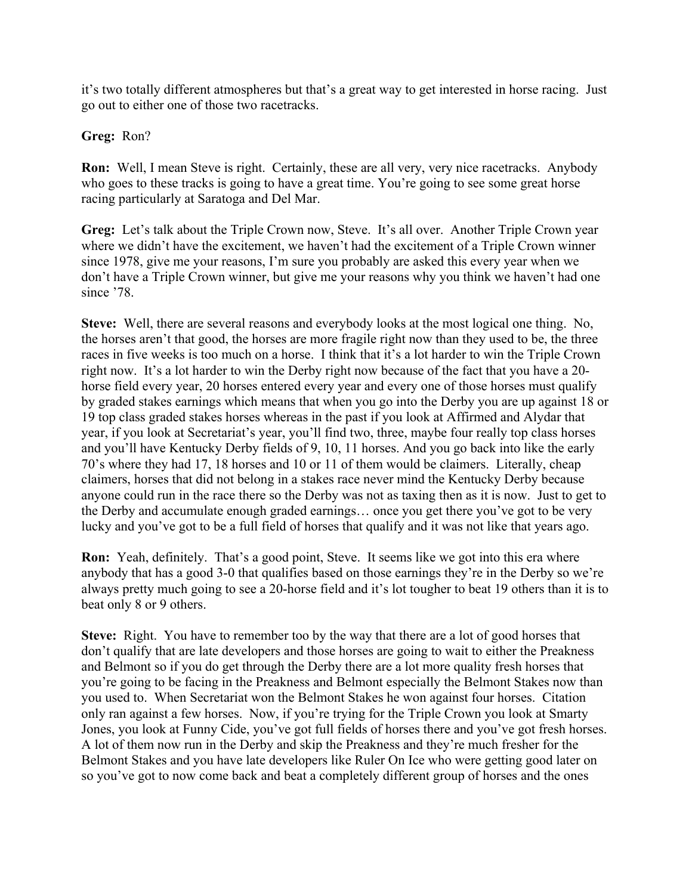it's two totally different atmospheres but that's a great way to get interested in horse racing. Just go out to either one of those two racetracks.

## **Greg:** Ron?

**Ron:** Well, I mean Steve is right. Certainly, these are all very, very nice racetracks. Anybody who goes to these tracks is going to have a great time. You're going to see some great horse racing particularly at Saratoga and Del Mar.

**Greg:** Let's talk about the Triple Crown now, Steve. It's all over. Another Triple Crown year where we didn't have the excitement, we haven't had the excitement of a Triple Crown winner since 1978, give me your reasons, I'm sure you probably are asked this every year when we don't have a Triple Crown winner, but give me your reasons why you think we haven't had one since '78.

**Steve:** Well, there are several reasons and everybody looks at the most logical one thing. No, the horses aren't that good, the horses are more fragile right now than they used to be, the three races in five weeks is too much on a horse. I think that it's a lot harder to win the Triple Crown right now. It's a lot harder to win the Derby right now because of the fact that you have a 20 horse field every year, 20 horses entered every year and every one of those horses must qualify by graded stakes earnings which means that when you go into the Derby you are up against 18 or 19 top class graded stakes horses whereas in the past if you look at Affirmed and Alydar that year, if you look at Secretariat's year, you'll find two, three, maybe four really top class horses and you'll have Kentucky Derby fields of 9, 10, 11 horses. And you go back into like the early 70's where they had 17, 18 horses and 10 or 11 of them would be claimers. Literally, cheap claimers, horses that did not belong in a stakes race never mind the Kentucky Derby because anyone could run in the race there so the Derby was not as taxing then as it is now. Just to get to the Derby and accumulate enough graded earnings… once you get there you've got to be very lucky and you've got to be a full field of horses that qualify and it was not like that years ago.

**Ron:** Yeah, definitely. That's a good point, Steve. It seems like we got into this era where anybody that has a good 3-0 that qualifies based on those earnings they're in the Derby so we're always pretty much going to see a 20-horse field and it's lot tougher to beat 19 others than it is to beat only 8 or 9 others.

**Steve:** Right. You have to remember too by the way that there are a lot of good horses that don't qualify that are late developers and those horses are going to wait to either the Preakness and Belmont so if you do get through the Derby there are a lot more quality fresh horses that you're going to be facing in the Preakness and Belmont especially the Belmont Stakes now than you used to. When Secretariat won the Belmont Stakes he won against four horses. Citation only ran against a few horses. Now, if you're trying for the Triple Crown you look at Smarty Jones, you look at Funny Cide, you've got full fields of horses there and you've got fresh horses. A lot of them now run in the Derby and skip the Preakness and they're much fresher for the Belmont Stakes and you have late developers like Ruler On Ice who were getting good later on so you've got to now come back and beat a completely different group of horses and the ones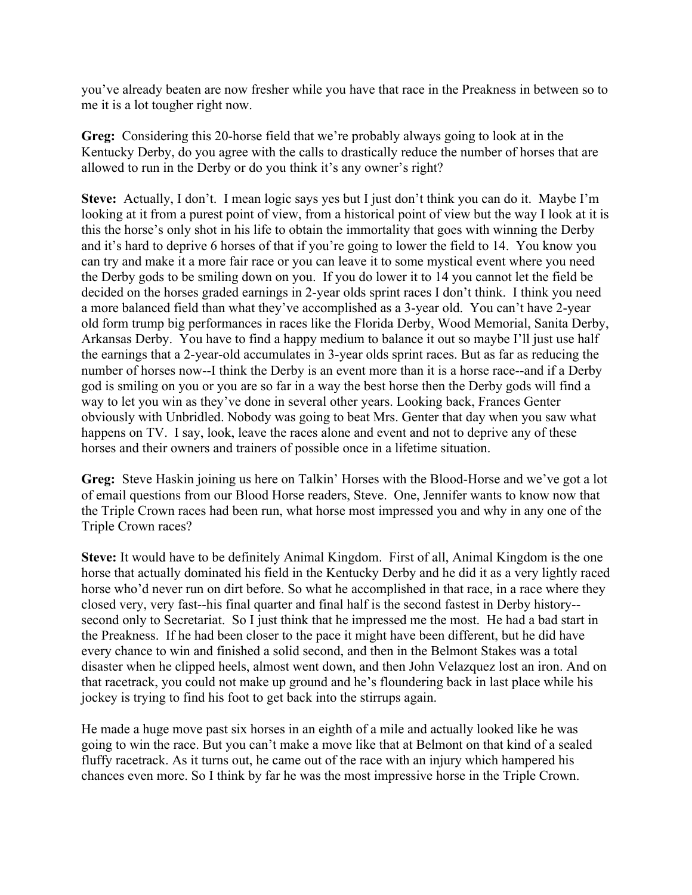you've already beaten are now fresher while you have that race in the Preakness in between so to me it is a lot tougher right now.

**Greg:** Considering this 20-horse field that we're probably always going to look at in the Kentucky Derby, do you agree with the calls to drastically reduce the number of horses that are allowed to run in the Derby or do you think it's any owner's right?

**Steve:** Actually, I don't. I mean logic says yes but I just don't think you can do it. Maybe I'm looking at it from a purest point of view, from a historical point of view but the way I look at it is this the horse's only shot in his life to obtain the immortality that goes with winning the Derby and it's hard to deprive 6 horses of that if you're going to lower the field to 14. You know you can try and make it a more fair race or you can leave it to some mystical event where you need the Derby gods to be smiling down on you. If you do lower it to 14 you cannot let the field be decided on the horses graded earnings in 2-year olds sprint races I don't think. I think you need a more balanced field than what they've accomplished as a 3-year old. You can't have 2-year old form trump big performances in races like the Florida Derby, Wood Memorial, Sanita Derby, Arkansas Derby. You have to find a happy medium to balance it out so maybe I'll just use half the earnings that a 2-year-old accumulates in 3-year olds sprint races. But as far as reducing the number of horses now--I think the Derby is an event more than it is a horse race--and if a Derby god is smiling on you or you are so far in a way the best horse then the Derby gods will find a way to let you win as they've done in several other years. Looking back, Frances Genter obviously with Unbridled. Nobody was going to beat Mrs. Genter that day when you saw what happens on TV. I say, look, leave the races alone and event and not to deprive any of these horses and their owners and trainers of possible once in a lifetime situation.

**Greg:** Steve Haskin joining us here on Talkin' Horses with the Blood-Horse and we've got a lot of email questions from our Blood Horse readers, Steve. One, Jennifer wants to know now that the Triple Crown races had been run, what horse most impressed you and why in any one of the Triple Crown races?

**Steve:** It would have to be definitely Animal Kingdom. First of all, Animal Kingdom is the one horse that actually dominated his field in the Kentucky Derby and he did it as a very lightly raced horse who'd never run on dirt before. So what he accomplished in that race, in a race where they closed very, very fast--his final quarter and final half is the second fastest in Derby history- second only to Secretariat. So I just think that he impressed me the most. He had a bad start in the Preakness. If he had been closer to the pace it might have been different, but he did have every chance to win and finished a solid second, and then in the Belmont Stakes was a total disaster when he clipped heels, almost went down, and then John Velazquez lost an iron. And on that racetrack, you could not make up ground and he's floundering back in last place while his jockey is trying to find his foot to get back into the stirrups again.

He made a huge move past six horses in an eighth of a mile and actually looked like he was going to win the race. But you can't make a move like that at Belmont on that kind of a sealed fluffy racetrack. As it turns out, he came out of the race with an injury which hampered his chances even more. So I think by far he was the most impressive horse in the Triple Crown.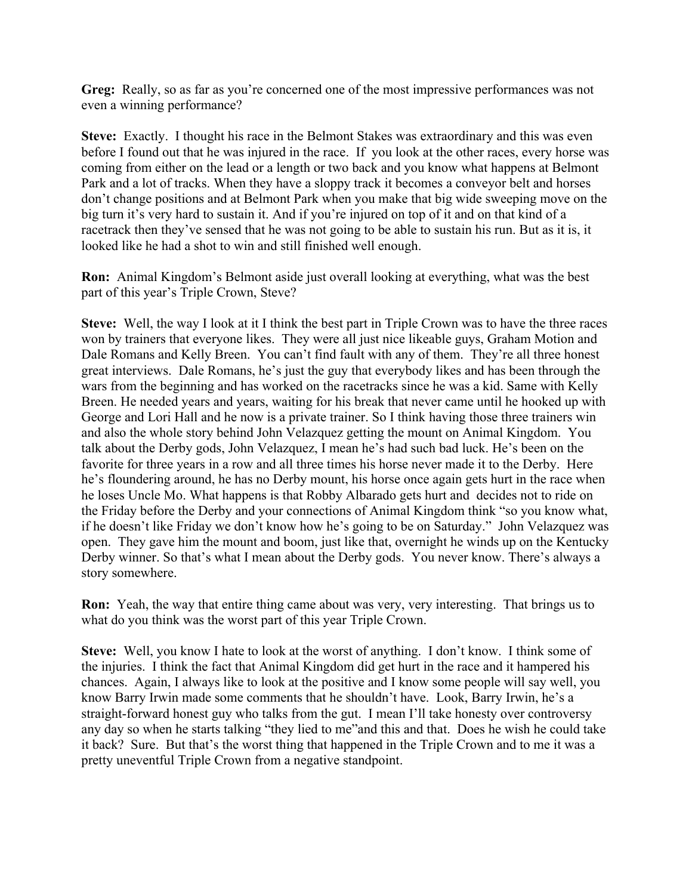**Greg:** Really, so as far as you're concerned one of the most impressive performances was not even a winning performance?

**Steve:** Exactly. I thought his race in the Belmont Stakes was extraordinary and this was even before I found out that he was injured in the race. If you look at the other races, every horse was coming from either on the lead or a length or two back and you know what happens at Belmont Park and a lot of tracks. When they have a sloppy track it becomes a conveyor belt and horses don't change positions and at Belmont Park when you make that big wide sweeping move on the big turn it's very hard to sustain it. And if you're injured on top of it and on that kind of a racetrack then they've sensed that he was not going to be able to sustain his run. But as it is, it looked like he had a shot to win and still finished well enough.

**Ron:** Animal Kingdom's Belmont aside just overall looking at everything, what was the best part of this year's Triple Crown, Steve?

**Steve:** Well, the way I look at it I think the best part in Triple Crown was to have the three races won by trainers that everyone likes. They were all just nice likeable guys, Graham Motion and Dale Romans and Kelly Breen. You can't find fault with any of them. They're all three honest great interviews. Dale Romans, he's just the guy that everybody likes and has been through the wars from the beginning and has worked on the racetracks since he was a kid. Same with Kelly Breen. He needed years and years, waiting for his break that never came until he hooked up with George and Lori Hall and he now is a private trainer. So I think having those three trainers win and also the whole story behind John Velazquez getting the mount on Animal Kingdom. You talk about the Derby gods, John Velazquez, I mean he's had such bad luck. He's been on the favorite for three years in a row and all three times his horse never made it to the Derby. Here he's floundering around, he has no Derby mount, his horse once again gets hurt in the race when he loses Uncle Mo. What happens is that Robby Albarado gets hurt and decides not to ride on the Friday before the Derby and your connections of Animal Kingdom think "so you know what, if he doesn't like Friday we don't know how he's going to be on Saturday." John Velazquez was open. They gave him the mount and boom, just like that, overnight he winds up on the Kentucky Derby winner. So that's what I mean about the Derby gods. You never know. There's always a story somewhere.

**Ron:** Yeah, the way that entire thing came about was very, very interesting. That brings us to what do you think was the worst part of this year Triple Crown.

**Steve:** Well, you know I hate to look at the worst of anything. I don't know. I think some of the injuries. I think the fact that Animal Kingdom did get hurt in the race and it hampered his chances. Again, I always like to look at the positive and I know some people will say well, you know Barry Irwin made some comments that he shouldn't have. Look, Barry Irwin, he's a straight-forward honest guy who talks from the gut. I mean I'll take honesty over controversy any day so when he starts talking "they lied to me"and this and that. Does he wish he could take it back? Sure. But that's the worst thing that happened in the Triple Crown and to me it was a pretty uneventful Triple Crown from a negative standpoint.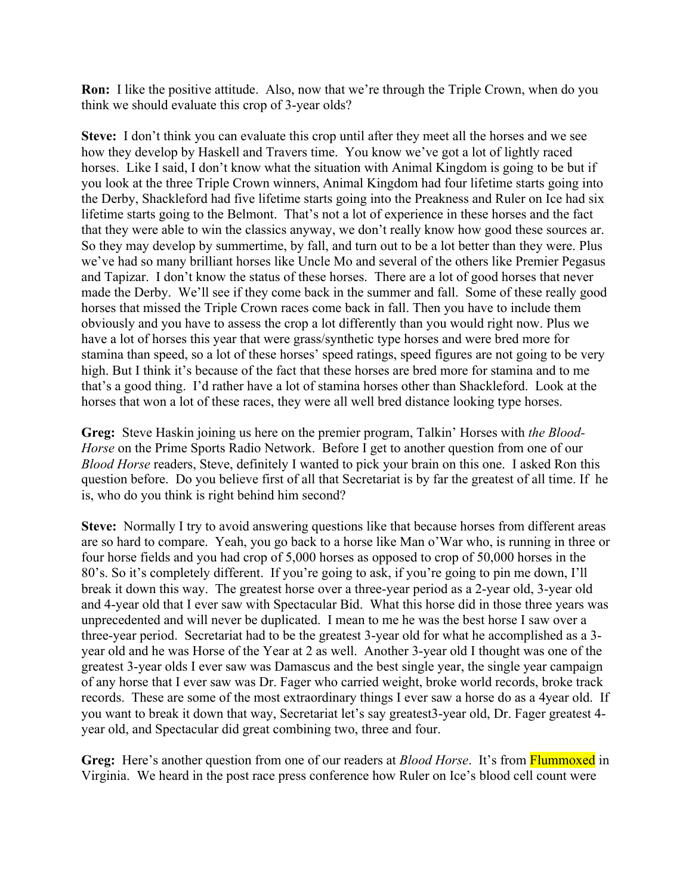**Ron:** I like the positive attitude. Also, now that we're through the Triple Crown, when do you think we should evaluate this crop of 3-year olds?

**Steve:** I don't think you can evaluate this crop until after they meet all the horses and we see how they develop by Haskell and Travers time. You know we've got a lot of lightly raced horses. Like I said, I don't know what the situation with Animal Kingdom is going to be but if you look at the three Triple Crown winners, Animal Kingdom had four lifetime starts going into the Derby, Shackleford had five lifetime starts going into the Preakness and Ruler on Ice had six lifetime starts going to the Belmont. That's not a lot of experience in these horses and the fact that they were able to win the classics anyway, we don't really know how good these sources ar. So they may develop by summertime, by fall, and turn out to be a lot better than they were. Plus we've had so many brilliant horses like Uncle Mo and several of the others like Premier Pegasus and Tapizar. I don't know the status of these horses. There are a lot of good horses that never made the Derby. We'll see if they come back in the summer and fall. Some of these really good horses that missed the Triple Crown races come back in fall. Then you have to include them obviously and you have to assess the crop a lot differently than you would right now. Plus we have a lot of horses this year that were grass/synthetic type horses and were bred more for stamina than speed, so a lot of these horses' speed ratings, speed figures are not going to be very high. But I think it's because of the fact that these horses are bred more for stamina and to me that's a good thing. I'd rather have a lot of stamina horses other than Shackleford. Look at the horses that won a lot of these races, they were all well bred distance looking type horses.

**Greg:** Steve Haskin joining us here on the premier program, Talkin' Horses with *the Blood-Horse* on the Prime Sports Radio Network. Before I get to another question from one of our *Blood Horse* readers, Steve, definitely I wanted to pick your brain on this one. I asked Ron this question before. Do you believe first of all that Secretariat is by far the greatest of all time. If he is, who do you think is right behind him second?

**Steve:** Normally I try to avoid answering questions like that because horses from different areas are so hard to compare. Yeah, you go back to a horse like Man o'War who, is running in three or four horse fields and you had crop of 5,000 horses as opposed to crop of 50,000 horses in the 80's. So it's completely different. If you're going to ask, if you're going to pin me down, I'll break it down this way. The greatest horse over a three-year period as a 2-year old, 3-year old and 4-year old that I ever saw with Spectacular Bid. What this horse did in those three years was unprecedented and will never be duplicated. I mean to me he was the best horse I saw over a three-year period. Secretariat had to be the greatest 3-year old for what he accomplished as a 3 year old and he was Horse of the Year at 2 as well. Another 3-year old I thought was one of the greatest 3-year olds I ever saw was Damascus and the best single year, the single year campaign of any horse that I ever saw was Dr. Fager who carried weight, broke world records, broke track records. These are some of the most extraordinary things I ever saw a horse do as a 4year old. If you want to break it down that way, Secretariat let's say greatest3-year old, Dr. Fager greatest 4 year old, and Spectacular did great combining two, three and four.

**Greg:** Here's another question from one of our readers at *Blood Horse*. It's from Flummoxed in Virginia. We heard in the post race press conference how Ruler on Ice's blood cell count were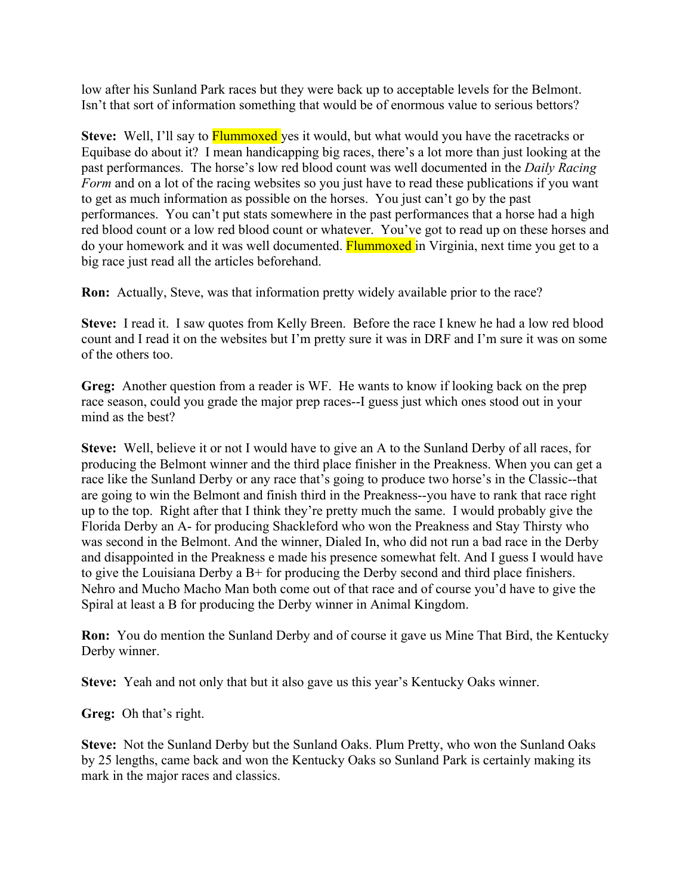low after his Sunland Park races but they were back up to acceptable levels for the Belmont. Isn't that sort of information something that would be of enormous value to serious bettors?

**Steve:** Well, I'll say to **Flummoxed** yes it would, but what would you have the racetracks or Equibase do about it? I mean handicapping big races, there's a lot more than just looking at the past performances. The horse's low red blood count was well documented in the *Daily Racing Form* and on a lot of the racing websites so you just have to read these publications if you want to get as much information as possible on the horses. You just can't go by the past performances. You can't put stats somewhere in the past performances that a horse had a high red blood count or a low red blood count or whatever. You've got to read up on these horses and do your homework and it was well documented. Flummoxed in Virginia, next time you get to a big race just read all the articles beforehand.

**Ron:** Actually, Steve, was that information pretty widely available prior to the race?

**Steve:** I read it. I saw quotes from Kelly Breen. Before the race I knew he had a low red blood count and I read it on the websites but I'm pretty sure it was in DRF and I'm sure it was on some of the others too.

**Greg:** Another question from a reader is WF. He wants to know if looking back on the prep race season, could you grade the major prep races--I guess just which ones stood out in your mind as the best?

**Steve:** Well, believe it or not I would have to give an A to the Sunland Derby of all races, for producing the Belmont winner and the third place finisher in the Preakness. When you can get a race like the Sunland Derby or any race that's going to produce two horse's in the Classic--that are going to win the Belmont and finish third in the Preakness--you have to rank that race right up to the top. Right after that I think they're pretty much the same. I would probably give the Florida Derby an A- for producing Shackleford who won the Preakness and Stay Thirsty who was second in the Belmont. And the winner, Dialed In, who did not run a bad race in the Derby and disappointed in the Preakness e made his presence somewhat felt. And I guess I would have to give the Louisiana Derby a  $B<sup>+</sup>$  for producing the Derby second and third place finishers. Nehro and Mucho Macho Man both come out of that race and of course you'd have to give the Spiral at least a B for producing the Derby winner in Animal Kingdom.

**Ron:** You do mention the Sunland Derby and of course it gave us Mine That Bird, the Kentucky Derby winner.

**Steve:** Yeah and not only that but it also gave us this year's Kentucky Oaks winner.

**Greg:** Oh that's right.

**Steve:** Not the Sunland Derby but the Sunland Oaks. Plum Pretty, who won the Sunland Oaks by 25 lengths, came back and won the Kentucky Oaks so Sunland Park is certainly making its mark in the major races and classics.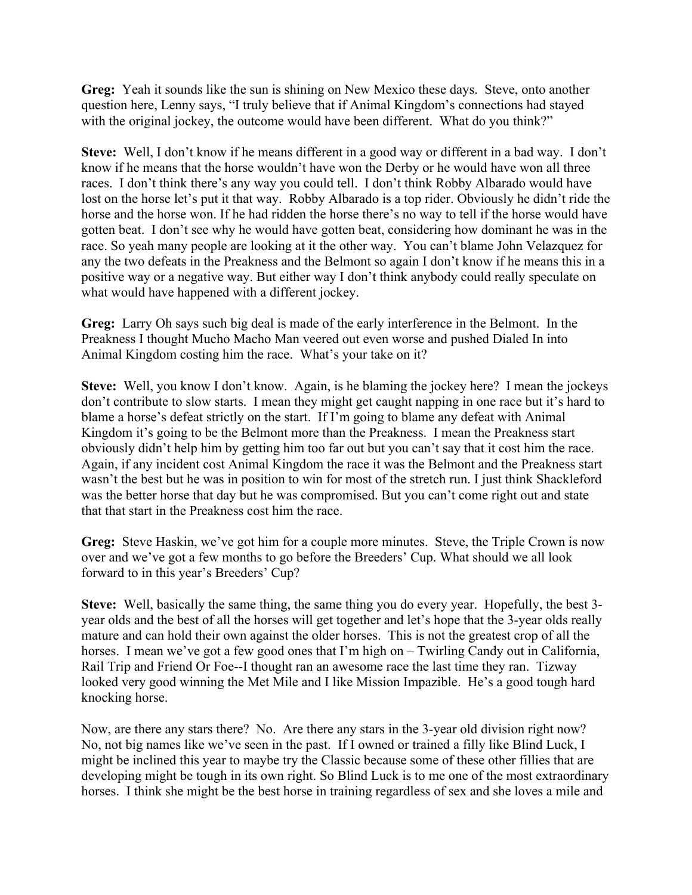**Greg:** Yeah it sounds like the sun is shining on New Mexico these days. Steve, onto another question here, Lenny says, "I truly believe that if Animal Kingdom's connections had stayed with the original jockey, the outcome would have been different. What do you think?"

**Steve:** Well, I don't know if he means different in a good way or different in a bad way. I don't know if he means that the horse wouldn't have won the Derby or he would have won all three races. I don't think there's any way you could tell. I don't think Robby Albarado would have lost on the horse let's put it that way. Robby Albarado is a top rider. Obviously he didn't ride the horse and the horse won. If he had ridden the horse there's no way to tell if the horse would have gotten beat. I don't see why he would have gotten beat, considering how dominant he was in the race. So yeah many people are looking at it the other way. You can't blame John Velazquez for any the two defeats in the Preakness and the Belmont so again I don't know if he means this in a positive way or a negative way. But either way I don't think anybody could really speculate on what would have happened with a different jockey.

**Greg:** Larry Oh says such big deal is made of the early interference in the Belmont. In the Preakness I thought Mucho Macho Man veered out even worse and pushed Dialed In into Animal Kingdom costing him the race. What's your take on it?

**Steve:** Well, you know I don't know. Again, is he blaming the jockey here? I mean the jockeys don't contribute to slow starts. I mean they might get caught napping in one race but it's hard to blame a horse's defeat strictly on the start. If I'm going to blame any defeat with Animal Kingdom it's going to be the Belmont more than the Preakness. I mean the Preakness start obviously didn't help him by getting him too far out but you can't say that it cost him the race. Again, if any incident cost Animal Kingdom the race it was the Belmont and the Preakness start wasn't the best but he was in position to win for most of the stretch run. I just think Shackleford was the better horse that day but he was compromised. But you can't come right out and state that that start in the Preakness cost him the race.

**Greg:** Steve Haskin, we've got him for a couple more minutes. Steve, the Triple Crown is now over and we've got a few months to go before the Breeders' Cup. What should we all look forward to in this year's Breeders' Cup?

**Steve:** Well, basically the same thing, the same thing you do every year. Hopefully, the best 3 year olds and the best of all the horses will get together and let's hope that the 3-year olds really mature and can hold their own against the older horses. This is not the greatest crop of all the horses. I mean we've got a few good ones that I'm high on – Twirling Candy out in California, Rail Trip and Friend Or Foe--I thought ran an awesome race the last time they ran. Tizway looked very good winning the Met Mile and I like Mission Impazible. He's a good tough hard knocking horse.

Now, are there any stars there? No. Are there any stars in the 3-year old division right now? No, not big names like we've seen in the past. If I owned or trained a filly like Blind Luck, I might be inclined this year to maybe try the Classic because some of these other fillies that are developing might be tough in its own right. So Blind Luck is to me one of the most extraordinary horses. I think she might be the best horse in training regardless of sex and she loves a mile and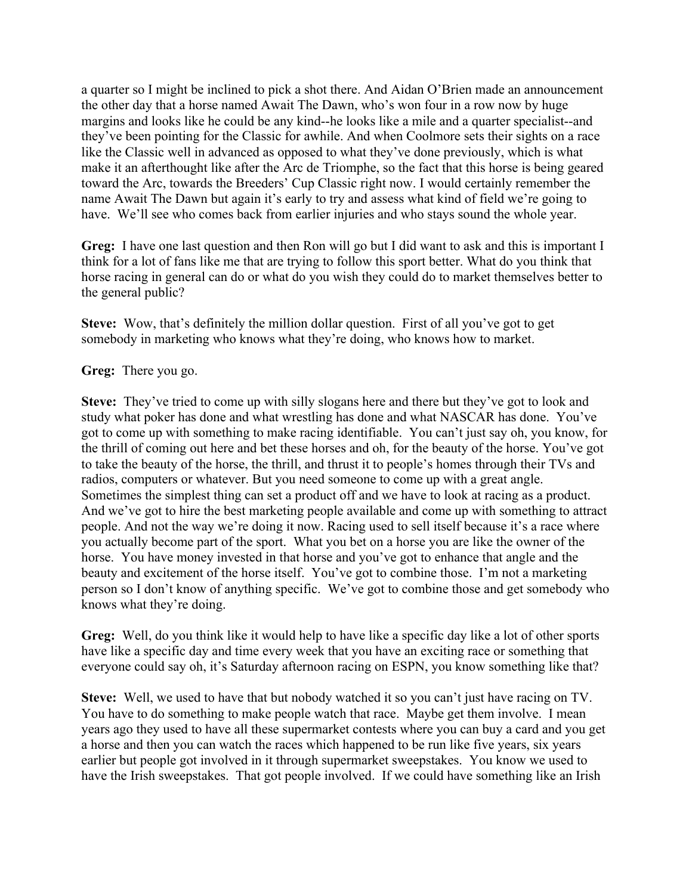a quarter so I might be inclined to pick a shot there. And Aidan O'Brien made an announcement the other day that a horse named Await The Dawn, who's won four in a row now by huge margins and looks like he could be any kind--he looks like a mile and a quarter specialist--and they've been pointing for the Classic for awhile. And when Coolmore sets their sights on a race like the Classic well in advanced as opposed to what they've done previously, which is what make it an afterthought like after the Arc de Triomphe, so the fact that this horse is being geared toward the Arc, towards the Breeders' Cup Classic right now. I would certainly remember the name Await The Dawn but again it's early to try and assess what kind of field we're going to have. We'll see who comes back from earlier injuries and who stays sound the whole year.

**Greg:** I have one last question and then Ron will go but I did want to ask and this is important I think for a lot of fans like me that are trying to follow this sport better. What do you think that horse racing in general can do or what do you wish they could do to market themselves better to the general public?

**Steve:** Wow, that's definitely the million dollar question. First of all you've got to get somebody in marketing who knows what they're doing, who knows how to market.

**Greg:** There you go.

**Steve:** They've tried to come up with silly slogans here and there but they've got to look and study what poker has done and what wrestling has done and what NASCAR has done. You've got to come up with something to make racing identifiable. You can't just say oh, you know, for the thrill of coming out here and bet these horses and oh, for the beauty of the horse. You've got to take the beauty of the horse, the thrill, and thrust it to people's homes through their TVs and radios, computers or whatever. But you need someone to come up with a great angle. Sometimes the simplest thing can set a product off and we have to look at racing as a product. And we've got to hire the best marketing people available and come up with something to attract people. And not the way we're doing it now. Racing used to sell itself because it's a race where you actually become part of the sport. What you bet on a horse you are like the owner of the horse. You have money invested in that horse and you've got to enhance that angle and the beauty and excitement of the horse itself. You've got to combine those. I'm not a marketing person so I don't know of anything specific. We've got to combine those and get somebody who knows what they're doing.

**Greg:** Well, do you think like it would help to have like a specific day like a lot of other sports have like a specific day and time every week that you have an exciting race or something that everyone could say oh, it's Saturday afternoon racing on ESPN, you know something like that?

**Steve:** Well, we used to have that but nobody watched it so you can't just have racing on TV. You have to do something to make people watch that race. Maybe get them involve. I mean years ago they used to have all these supermarket contests where you can buy a card and you get a horse and then you can watch the races which happened to be run like five years, six years earlier but people got involved in it through supermarket sweepstakes. You know we used to have the Irish sweepstakes. That got people involved. If we could have something like an Irish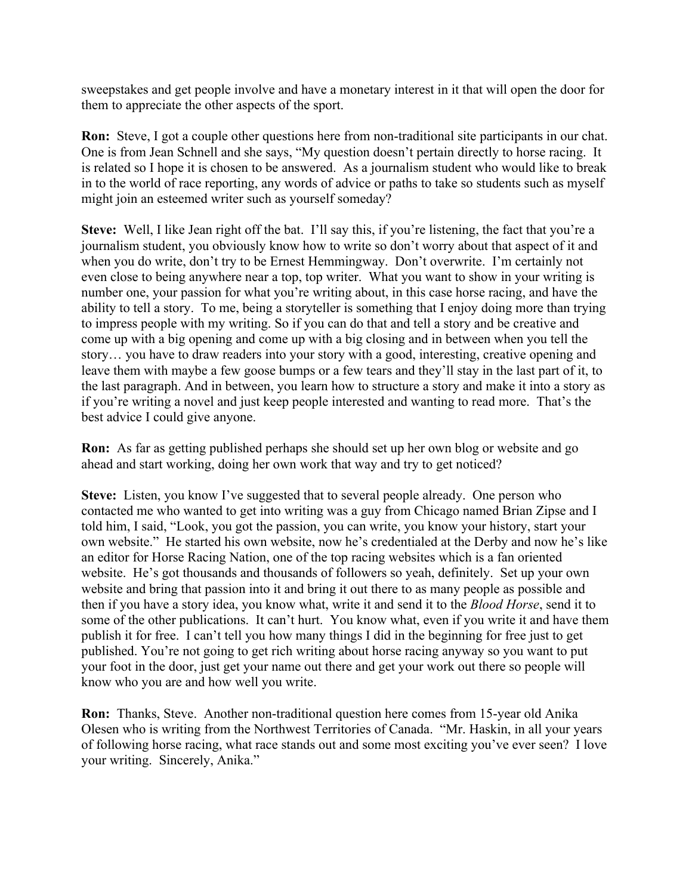sweepstakes and get people involve and have a monetary interest in it that will open the door for them to appreciate the other aspects of the sport.

**Ron:** Steve, I got a couple other questions here from non-traditional site participants in our chat. One is from Jean Schnell and she says, "My question doesn't pertain directly to horse racing. It is related so I hope it is chosen to be answered. As a journalism student who would like to break in to the world of race reporting, any words of advice or paths to take so students such as myself might join an esteemed writer such as yourself someday?

**Steve:** Well, I like Jean right off the bat. I'll say this, if you're listening, the fact that you're a journalism student, you obviously know how to write so don't worry about that aspect of it and when you do write, don't try to be Ernest Hemmingway. Don't overwrite. I'm certainly not even close to being anywhere near a top, top writer. What you want to show in your writing is number one, your passion for what you're writing about, in this case horse racing, and have the ability to tell a story. To me, being a storyteller is something that I enjoy doing more than trying to impress people with my writing. So if you can do that and tell a story and be creative and come up with a big opening and come up with a big closing and in between when you tell the story… you have to draw readers into your story with a good, interesting, creative opening and leave them with maybe a few goose bumps or a few tears and they'll stay in the last part of it, to the last paragraph. And in between, you learn how to structure a story and make it into a story as if you're writing a novel and just keep people interested and wanting to read more. That's the best advice I could give anyone.

**Ron:** As far as getting published perhaps she should set up her own blog or website and go ahead and start working, doing her own work that way and try to get noticed?

**Steve:** Listen, you know I've suggested that to several people already. One person who contacted me who wanted to get into writing was a guy from Chicago named Brian Zipse and I told him, I said, "Look, you got the passion, you can write, you know your history, start your own website." He started his own website, now he's credentialed at the Derby and now he's like an editor for Horse Racing Nation, one of the top racing websites which is a fan oriented website. He's got thousands and thousands of followers so yeah, definitely. Set up your own website and bring that passion into it and bring it out there to as many people as possible and then if you have a story idea, you know what, write it and send it to the *Blood Horse*, send it to some of the other publications. It can't hurt. You know what, even if you write it and have them publish it for free. I can't tell you how many things I did in the beginning for free just to get published. You're not going to get rich writing about horse racing anyway so you want to put your foot in the door, just get your name out there and get your work out there so people will know who you are and how well you write.

**Ron:** Thanks, Steve. Another non-traditional question here comes from 15-year old Anika Olesen who is writing from the Northwest Territories of Canada. "Mr. Haskin, in all your years of following horse racing, what race stands out and some most exciting you've ever seen? I love your writing. Sincerely, Anika."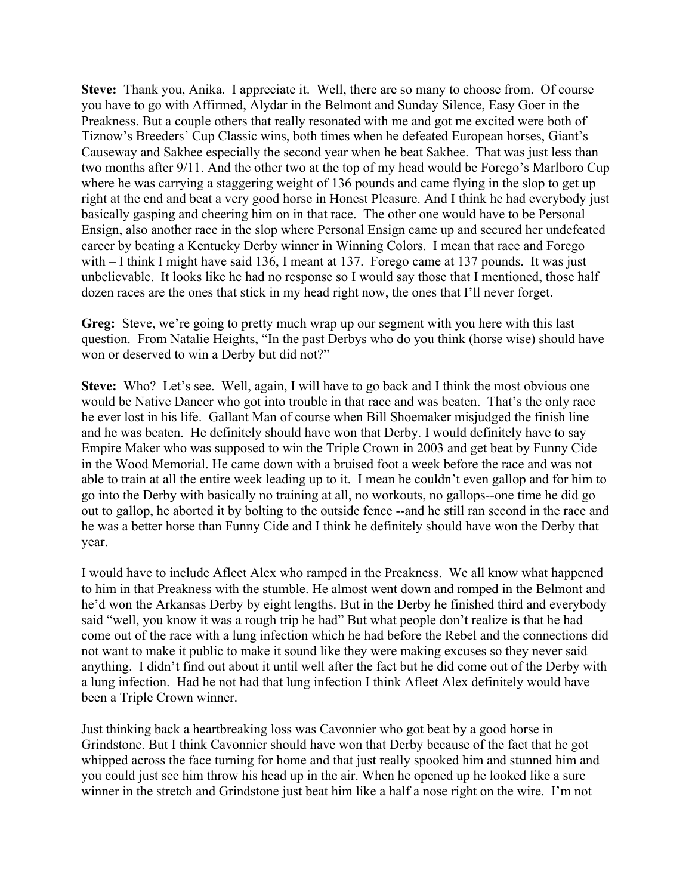**Steve:** Thank you, Anika. I appreciate it. Well, there are so many to choose from. Of course you have to go with Affirmed, Alydar in the Belmont and Sunday Silence, Easy Goer in the Preakness. But a couple others that really resonated with me and got me excited were both of Tiznow's Breeders' Cup Classic wins, both times when he defeated European horses, Giant's Causeway and Sakhee especially the second year when he beat Sakhee. That was just less than two months after 9/11. And the other two at the top of my head would be Forego's Marlboro Cup where he was carrying a staggering weight of 136 pounds and came flying in the slop to get up right at the end and beat a very good horse in Honest Pleasure. And I think he had everybody just basically gasping and cheering him on in that race. The other one would have to be Personal Ensign, also another race in the slop where Personal Ensign came up and secured her undefeated career by beating a Kentucky Derby winner in Winning Colors. I mean that race and Forego with – I think I might have said 136, I meant at 137. Forego came at 137 pounds. It was just unbelievable. It looks like he had no response so I would say those that I mentioned, those half dozen races are the ones that stick in my head right now, the ones that I'll never forget.

**Greg:** Steve, we're going to pretty much wrap up our segment with you here with this last question. From Natalie Heights, "In the past Derbys who do you think (horse wise) should have won or deserved to win a Derby but did not?"

**Steve:** Who? Let's see. Well, again, I will have to go back and I think the most obvious one would be Native Dancer who got into trouble in that race and was beaten. That's the only race he ever lost in his life. Gallant Man of course when Bill Shoemaker misjudged the finish line and he was beaten. He definitely should have won that Derby. I would definitely have to say Empire Maker who was supposed to win the Triple Crown in 2003 and get beat by Funny Cide in the Wood Memorial. He came down with a bruised foot a week before the race and was not able to train at all the entire week leading up to it. I mean he couldn't even gallop and for him to go into the Derby with basically no training at all, no workouts, no gallops--one time he did go out to gallop, he aborted it by bolting to the outside fence --and he still ran second in the race and he was a better horse than Funny Cide and I think he definitely should have won the Derby that year.

I would have to include Afleet Alex who ramped in the Preakness. We all know what happened to him in that Preakness with the stumble. He almost went down and romped in the Belmont and he'd won the Arkansas Derby by eight lengths. But in the Derby he finished third and everybody said "well, you know it was a rough trip he had" But what people don't realize is that he had come out of the race with a lung infection which he had before the Rebel and the connections did not want to make it public to make it sound like they were making excuses so they never said anything. I didn't find out about it until well after the fact but he did come out of the Derby with a lung infection. Had he not had that lung infection I think Afleet Alex definitely would have been a Triple Crown winner.

Just thinking back a heartbreaking loss was Cavonnier who got beat by a good horse in Grindstone. But I think Cavonnier should have won that Derby because of the fact that he got whipped across the face turning for home and that just really spooked him and stunned him and you could just see him throw his head up in the air. When he opened up he looked like a sure winner in the stretch and Grindstone just beat him like a half a nose right on the wire. I'm not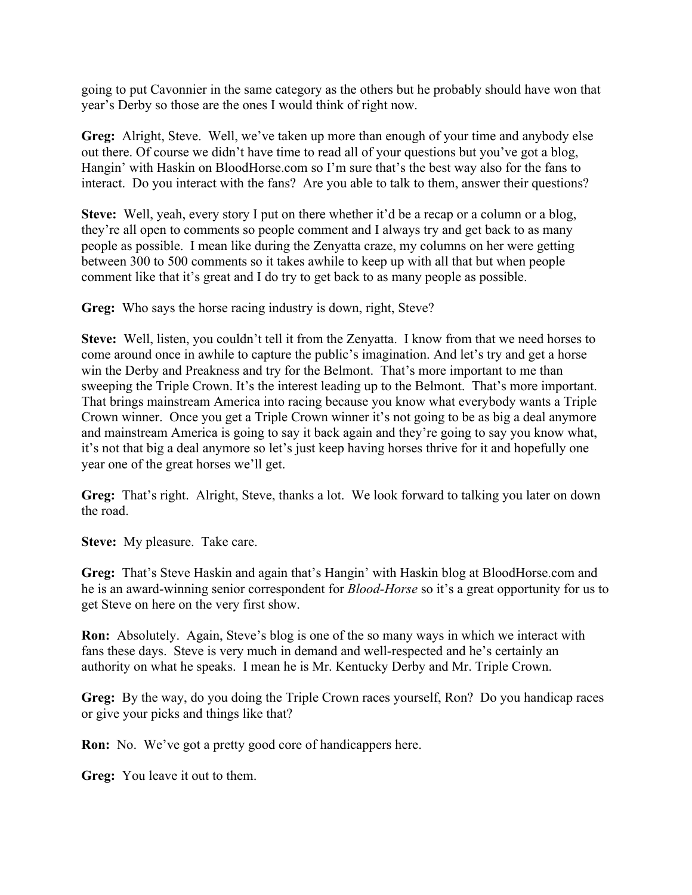going to put Cavonnier in the same category as the others but he probably should have won that year's Derby so those are the ones I would think of right now.

**Greg:** Alright, Steve. Well, we've taken up more than enough of your time and anybody else out there. Of course we didn't have time to read all of your questions but you've got a blog, Hangin' with Haskin on BloodHorse.com so I'm sure that's the best way also for the fans to interact. Do you interact with the fans? Are you able to talk to them, answer their questions?

**Steve:** Well, yeah, every story I put on there whether it'd be a recap or a column or a blog, they're all open to comments so people comment and I always try and get back to as many people as possible. I mean like during the Zenyatta craze, my columns on her were getting between 300 to 500 comments so it takes awhile to keep up with all that but when people comment like that it's great and I do try to get back to as many people as possible.

**Greg:** Who says the horse racing industry is down, right, Steve?

**Steve:** Well, listen, you couldn't tell it from the Zenyatta. I know from that we need horses to come around once in awhile to capture the public's imagination. And let's try and get a horse win the Derby and Preakness and try for the Belmont. That's more important to me than sweeping the Triple Crown. It's the interest leading up to the Belmont. That's more important. That brings mainstream America into racing because you know what everybody wants a Triple Crown winner. Once you get a Triple Crown winner it's not going to be as big a deal anymore and mainstream America is going to say it back again and they're going to say you know what, it's not that big a deal anymore so let's just keep having horses thrive for it and hopefully one year one of the great horses we'll get.

**Greg:** That's right. Alright, Steve, thanks a lot. We look forward to talking you later on down the road.

**Steve:** My pleasure. Take care.

**Greg:** That's Steve Haskin and again that's Hangin' with Haskin blog at BloodHorse.com and he is an award-winning senior correspondent for *Blood-Horse* so it's a great opportunity for us to get Steve on here on the very first show.

**Ron:** Absolutely. Again, Steve's blog is one of the so many ways in which we interact with fans these days. Steve is very much in demand and well-respected and he's certainly an authority on what he speaks. I mean he is Mr. Kentucky Derby and Mr. Triple Crown.

Greg: By the way, do you doing the Triple Crown races yourself, Ron? Do you handicap races or give your picks and things like that?

**Ron:** No. We've got a pretty good core of handicappers here.

**Greg:** You leave it out to them.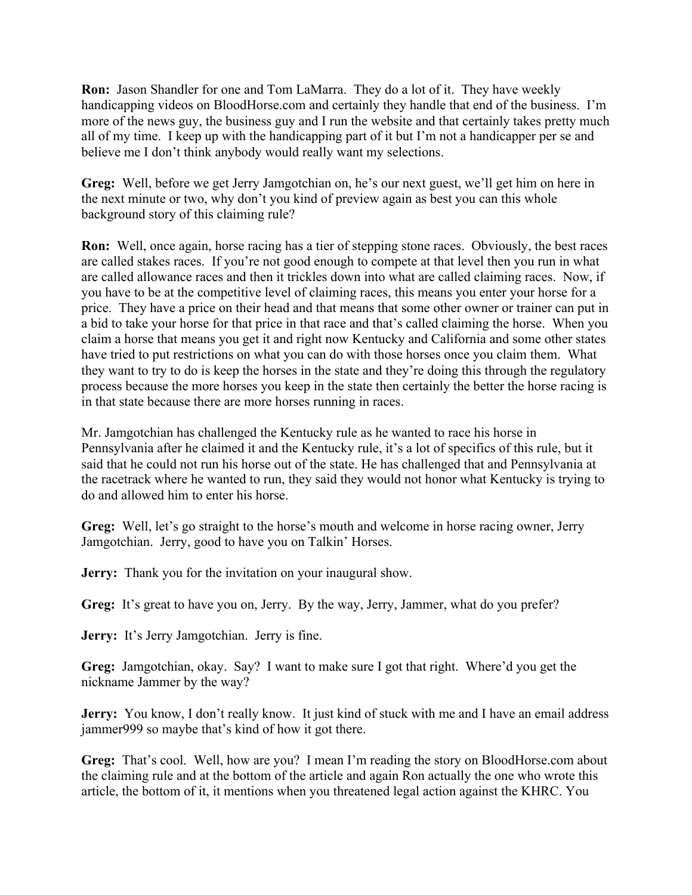**Ron:** Jason Shandler for one and Tom LaMarra. They do a lot of it. They have weekly handicapping videos on BloodHorse.com and certainly they handle that end of the business. I'm more of the news guy, the business guy and I run the website and that certainly takes pretty much all of my time. I keep up with the handicapping part of it but I'm not a handicapper per se and believe me I don't think anybody would really want my selections.

**Greg:** Well, before we get Jerry Jamgotchian on, he's our next guest, we'll get him on here in the next minute or two, why don't you kind of preview again as best you can this whole background story of this claiming rule?

**Ron:** Well, once again, horse racing has a tier of stepping stone races. Obviously, the best races are called stakes races. If you're not good enough to compete at that level then you run in what are called allowance races and then it trickles down into what are called claiming races. Now, if you have to be at the competitive level of claiming races, this means you enter your horse for a price. They have a price on their head and that means that some other owner or trainer can put in a bid to take your horse for that price in that race and that's called claiming the horse. When you claim a horse that means you get it and right now Kentucky and California and some other states have tried to put restrictions on what you can do with those horses once you claim them. What they want to try to do is keep the horses in the state and they're doing this through the regulatory process because the more horses you keep in the state then certainly the better the horse racing is in that state because there are more horses running in races.

Mr. Jamgotchian has challenged the Kentucky rule as he wanted to race his horse in Pennsylvania after he claimed it and the Kentucky rule, it's a lot of specifics of this rule, but it said that he could not run his horse out of the state. He has challenged that and Pennsylvania at the racetrack where he wanted to run, they said they would not honor what Kentucky is trying to do and allowed him to enter his horse.

**Greg:** Well, let's go straight to the horse's mouth and welcome in horse racing owner, Jerry Jamgotchian. Jerry, good to have you on Talkin' Horses.

**Jerry:** Thank you for the invitation on your inaugural show.

Greg: It's great to have you on, Jerry. By the way, Jerry, Jammer, what do you prefer?

**Jerry:** It's Jerry Jamgotchian. Jerry is fine.

**Greg:** Jamgotchian, okay. Say? I want to make sure I got that right. Where'd you get the nickname Jammer by the way?

**Jerry:** You know, I don't really know. It just kind of stuck with me and I have an email address jammer999 so maybe that's kind of how it got there.

**Greg:** That's cool. Well, how are you? I mean I'm reading the story on BloodHorse.com about the claiming rule and at the bottom of the article and again Ron actually the one who wrote this article, the bottom of it, it mentions when you threatened legal action against the KHRC. You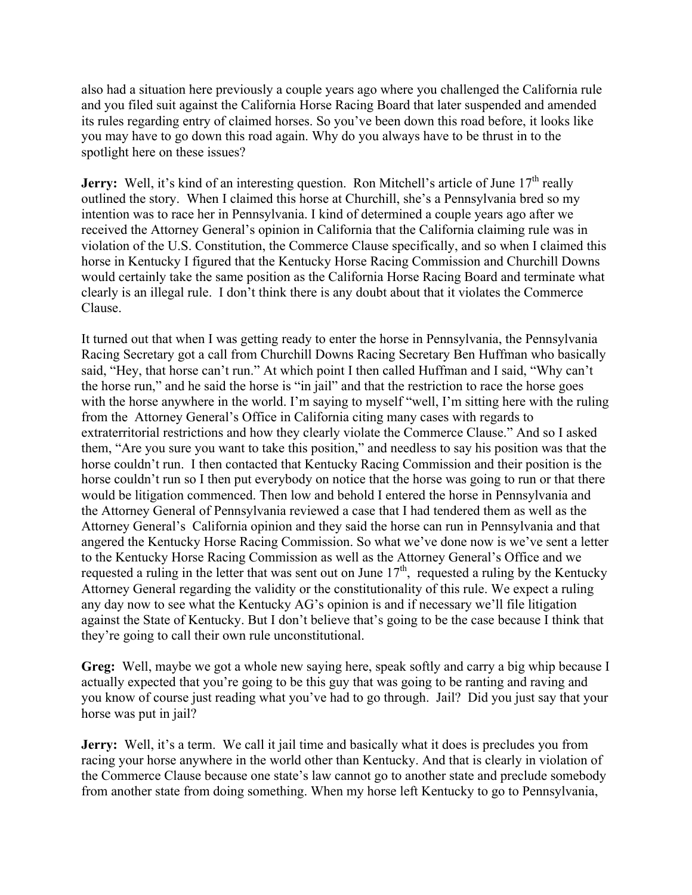also had a situation here previously a couple years ago where you challenged the California rule and you filed suit against the California Horse Racing Board that later suspended and amended its rules regarding entry of claimed horses. So you've been down this road before, it looks like you may have to go down this road again. Why do you always have to be thrust in to the spotlight here on these issues?

**Jerry:** Well, it's kind of an interesting question. Ron Mitchell's article of June 17<sup>th</sup> really outlined the story. When I claimed this horse at Churchill, she's a Pennsylvania bred so my intention was to race her in Pennsylvania. I kind of determined a couple years ago after we received the Attorney General's opinion in California that the California claiming rule was in violation of the U.S. Constitution, the Commerce Clause specifically, and so when I claimed this horse in Kentucky I figured that the Kentucky Horse Racing Commission and Churchill Downs would certainly take the same position as the California Horse Racing Board and terminate what clearly is an illegal rule. I don't think there is any doubt about that it violates the Commerce Clause.

It turned out that when I was getting ready to enter the horse in Pennsylvania, the Pennsylvania Racing Secretary got a call from Churchill Downs Racing Secretary Ben Huffman who basically said, "Hey, that horse can't run." At which point I then called Huffman and I said, "Why can't the horse run," and he said the horse is "in jail" and that the restriction to race the horse goes with the horse anywhere in the world. I'm saying to myself "well, I'm sitting here with the ruling from the Attorney General's Office in California citing many cases with regards to extraterritorial restrictions and how they clearly violate the Commerce Clause." And so I asked them, "Are you sure you want to take this position," and needless to say his position was that the horse couldn't run. I then contacted that Kentucky Racing Commission and their position is the horse couldn't run so I then put everybody on notice that the horse was going to run or that there would be litigation commenced. Then low and behold I entered the horse in Pennsylvania and the Attorney General of Pennsylvania reviewed a case that I had tendered them as well as the Attorney General's California opinion and they said the horse can run in Pennsylvania and that angered the Kentucky Horse Racing Commission. So what we've done now is we've sent a letter to the Kentucky Horse Racing Commission as well as the Attorney General's Office and we requested a ruling in the letter that was sent out on June  $17<sup>th</sup>$ , requested a ruling by the Kentucky Attorney General regarding the validity or the constitutionality of this rule. We expect a ruling any day now to see what the Kentucky AG's opinion is and if necessary we'll file litigation against the State of Kentucky. But I don't believe that's going to be the case because I think that they're going to call their own rule unconstitutional.

**Greg:** Well, maybe we got a whole new saying here, speak softly and carry a big whip because I actually expected that you're going to be this guy that was going to be ranting and raving and you know of course just reading what you've had to go through. Jail? Did you just say that your horse was put in jail?

**Jerry:** Well, it's a term. We call it jail time and basically what it does is precludes you from racing your horse anywhere in the world other than Kentucky. And that is clearly in violation of the Commerce Clause because one state's law cannot go to another state and preclude somebody from another state from doing something. When my horse left Kentucky to go to Pennsylvania,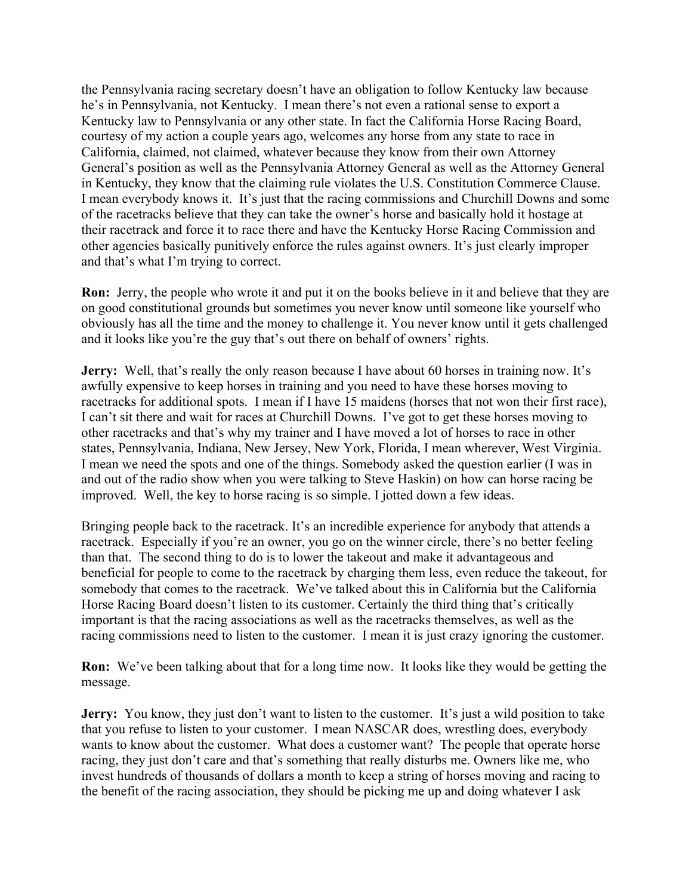the Pennsylvania racing secretary doesn't have an obligation to follow Kentucky law because he's in Pennsylvania, not Kentucky. I mean there's not even a rational sense to export a Kentucky law to Pennsylvania or any other state. In fact the California Horse Racing Board, courtesy of my action a couple years ago, welcomes any horse from any state to race in California, claimed, not claimed, whatever because they know from their own Attorney General's position as well as the Pennsylvania Attorney General as well as the Attorney General in Kentucky, they know that the claiming rule violates the U.S. Constitution Commerce Clause. I mean everybody knows it. It's just that the racing commissions and Churchill Downs and some of the racetracks believe that they can take the owner's horse and basically hold it hostage at their racetrack and force it to race there and have the Kentucky Horse Racing Commission and other agencies basically punitively enforce the rules against owners. It's just clearly improper and that's what I'm trying to correct.

**Ron:** Jerry, the people who wrote it and put it on the books believe in it and believe that they are on good constitutional grounds but sometimes you never know until someone like yourself who obviously has all the time and the money to challenge it. You never know until it gets challenged and it looks like you're the guy that's out there on behalf of owners' rights.

**Jerry:** Well, that's really the only reason because I have about 60 horses in training now. It's awfully expensive to keep horses in training and you need to have these horses moving to racetracks for additional spots. I mean if I have 15 maidens (horses that not won their first race), I can't sit there and wait for races at Churchill Downs. I've got to get these horses moving to other racetracks and that's why my trainer and I have moved a lot of horses to race in other states, Pennsylvania, Indiana, New Jersey, New York, Florida, I mean wherever, West Virginia. I mean we need the spots and one of the things. Somebody asked the question earlier (I was in and out of the radio show when you were talking to Steve Haskin) on how can horse racing be improved. Well, the key to horse racing is so simple. I jotted down a few ideas.

Bringing people back to the racetrack. It's an incredible experience for anybody that attends a racetrack. Especially if you're an owner, you go on the winner circle, there's no better feeling than that. The second thing to do is to lower the takeout and make it advantageous and beneficial for people to come to the racetrack by charging them less, even reduce the takeout, for somebody that comes to the racetrack. We've talked about this in California but the California Horse Racing Board doesn't listen to its customer. Certainly the third thing that's critically important is that the racing associations as well as the racetracks themselves, as well as the racing commissions need to listen to the customer. I mean it is just crazy ignoring the customer.

**Ron:** We've been talking about that for a long time now. It looks like they would be getting the message.

**Jerry:** You know, they just don't want to listen to the customer. It's just a wild position to take that you refuse to listen to your customer. I mean NASCAR does, wrestling does, everybody wants to know about the customer. What does a customer want? The people that operate horse racing, they just don't care and that's something that really disturbs me. Owners like me, who invest hundreds of thousands of dollars a month to keep a string of horses moving and racing to the benefit of the racing association, they should be picking me up and doing whatever I ask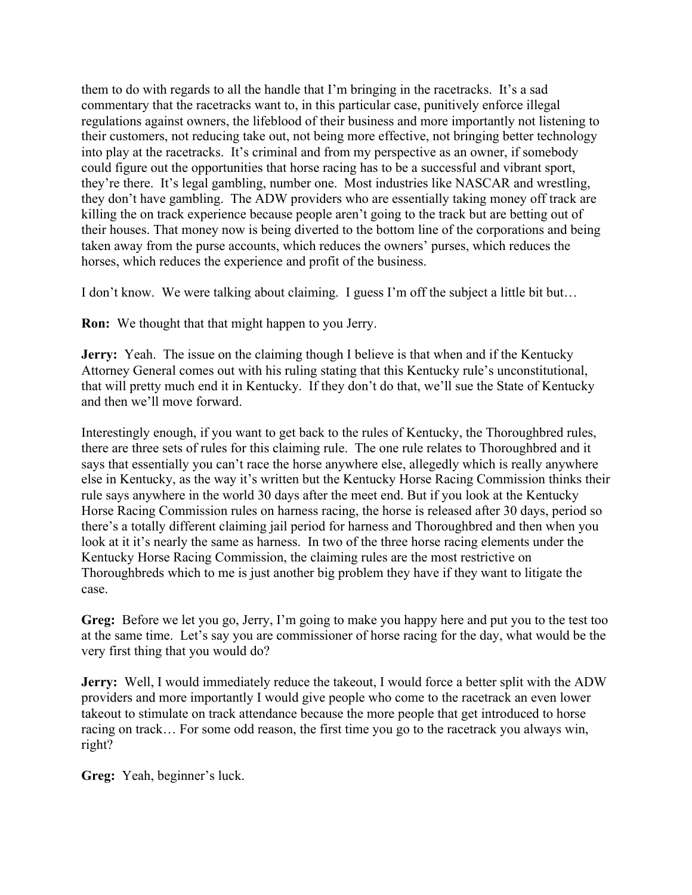them to do with regards to all the handle that I'm bringing in the racetracks. It's a sad commentary that the racetracks want to, in this particular case, punitively enforce illegal regulations against owners, the lifeblood of their business and more importantly not listening to their customers, not reducing take out, not being more effective, not bringing better technology into play at the racetracks. It's criminal and from my perspective as an owner, if somebody could figure out the opportunities that horse racing has to be a successful and vibrant sport, they're there. It's legal gambling, number one. Most industries like NASCAR and wrestling, they don't have gambling. The ADW providers who are essentially taking money off track are killing the on track experience because people aren't going to the track but are betting out of their houses. That money now is being diverted to the bottom line of the corporations and being taken away from the purse accounts, which reduces the owners' purses, which reduces the horses, which reduces the experience and profit of the business.

I don't know. We were talking about claiming. I guess I'm off the subject a little bit but…

**Ron:** We thought that that might happen to you Jerry.

**Jerry:** Yeah. The issue on the claiming though I believe is that when and if the Kentucky Attorney General comes out with his ruling stating that this Kentucky rule's unconstitutional, that will pretty much end it in Kentucky. If they don't do that, we'll sue the State of Kentucky and then we'll move forward.

Interestingly enough, if you want to get back to the rules of Kentucky, the Thoroughbred rules, there are three sets of rules for this claiming rule. The one rule relates to Thoroughbred and it says that essentially you can't race the horse anywhere else, allegedly which is really anywhere else in Kentucky, as the way it's written but the Kentucky Horse Racing Commission thinks their rule says anywhere in the world 30 days after the meet end. But if you look at the Kentucky Horse Racing Commission rules on harness racing, the horse is released after 30 days, period so there's a totally different claiming jail period for harness and Thoroughbred and then when you look at it it's nearly the same as harness. In two of the three horse racing elements under the Kentucky Horse Racing Commission, the claiming rules are the most restrictive on Thoroughbreds which to me is just another big problem they have if they want to litigate the case.

**Greg:** Before we let you go, Jerry, I'm going to make you happy here and put you to the test too at the same time. Let's say you are commissioner of horse racing for the day, what would be the very first thing that you would do?

**Jerry:** Well, I would immediately reduce the takeout, I would force a better split with the ADW providers and more importantly I would give people who come to the racetrack an even lower takeout to stimulate on track attendance because the more people that get introduced to horse racing on track… For some odd reason, the first time you go to the racetrack you always win, right?

**Greg:** Yeah, beginner's luck.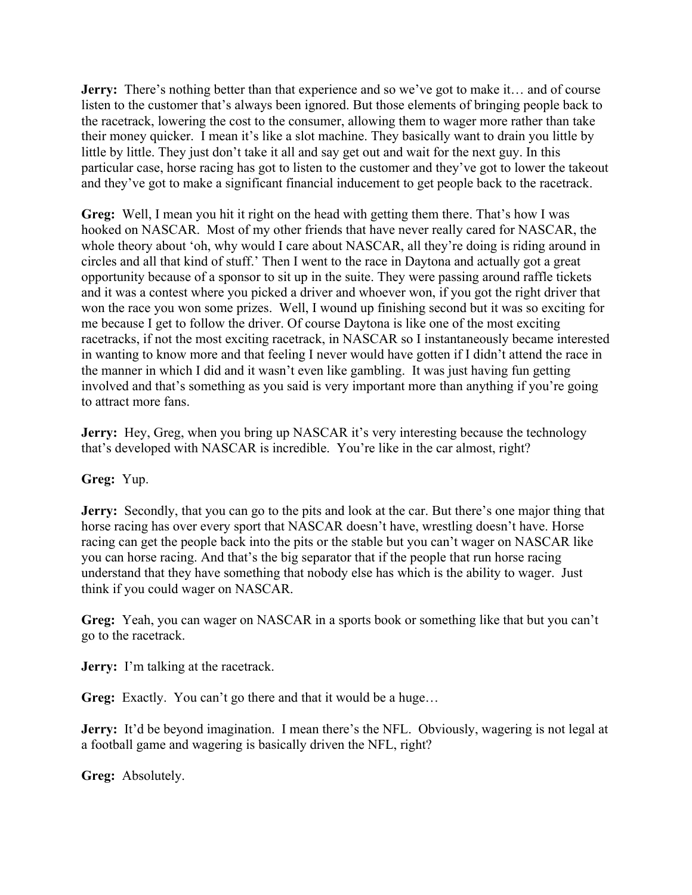**Jerry:** There's nothing better than that experience and so we've got to make it... and of course listen to the customer that's always been ignored. But those elements of bringing people back to the racetrack, lowering the cost to the consumer, allowing them to wager more rather than take their money quicker. I mean it's like a slot machine. They basically want to drain you little by little by little. They just don't take it all and say get out and wait for the next guy. In this particular case, horse racing has got to listen to the customer and they've got to lower the takeout and they've got to make a significant financial inducement to get people back to the racetrack.

**Greg:** Well, I mean you hit it right on the head with getting them there. That's how I was hooked on NASCAR. Most of my other friends that have never really cared for NASCAR, the whole theory about 'oh, why would I care about NASCAR, all they're doing is riding around in circles and all that kind of stuff.' Then I went to the race in Daytona and actually got a great opportunity because of a sponsor to sit up in the suite. They were passing around raffle tickets and it was a contest where you picked a driver and whoever won, if you got the right driver that won the race you won some prizes. Well, I wound up finishing second but it was so exciting for me because I get to follow the driver. Of course Daytona is like one of the most exciting racetracks, if not the most exciting racetrack, in NASCAR so I instantaneously became interested in wanting to know more and that feeling I never would have gotten if I didn't attend the race in the manner in which I did and it wasn't even like gambling. It was just having fun getting involved and that's something as you said is very important more than anything if you're going to attract more fans.

**Jerry:** Hey, Greg, when you bring up NASCAR it's very interesting because the technology that's developed with NASCAR is incredible. You're like in the car almost, right?

## **Greg:** Yup.

**Jerry:** Secondly, that you can go to the pits and look at the car. But there's one major thing that horse racing has over every sport that NASCAR doesn't have, wrestling doesn't have. Horse racing can get the people back into the pits or the stable but you can't wager on NASCAR like you can horse racing. And that's the big separator that if the people that run horse racing understand that they have something that nobody else has which is the ability to wager. Just think if you could wager on NASCAR.

**Greg:** Yeah, you can wager on NASCAR in a sports book or something like that but you can't go to the racetrack.

**Jerry:** I'm talking at the racetrack.

**Greg:** Exactly. You can't go there and that it would be a huge…

**Jerry:** It'd be beyond imagination. I mean there's the NFL. Obviously, wagering is not legal at a football game and wagering is basically driven the NFL, right?

**Greg:** Absolutely.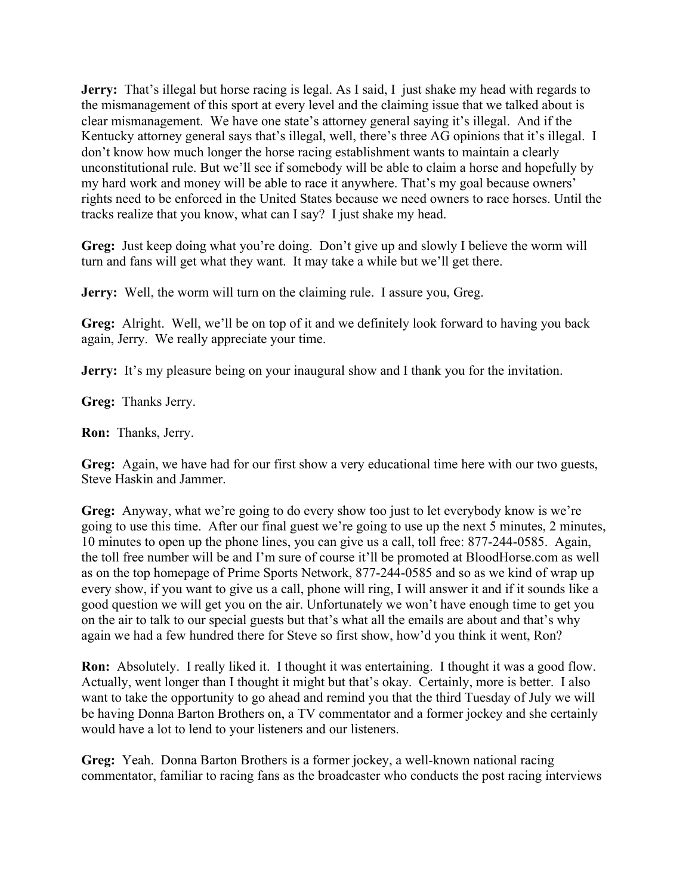**Jerry:** That's illegal but horse racing is legal. As I said, I just shake my head with regards to the mismanagement of this sport at every level and the claiming issue that we talked about is clear mismanagement. We have one state's attorney general saying it's illegal. And if the Kentucky attorney general says that's illegal, well, there's three AG opinions that it's illegal. I don't know how much longer the horse racing establishment wants to maintain a clearly unconstitutional rule. But we'll see if somebody will be able to claim a horse and hopefully by my hard work and money will be able to race it anywhere. That's my goal because owners' rights need to be enforced in the United States because we need owners to race horses. Until the tracks realize that you know, what can I say? I just shake my head.

**Greg:** Just keep doing what you're doing. Don't give up and slowly I believe the worm will turn and fans will get what they want. It may take a while but we'll get there.

**Jerry:** Well, the worm will turn on the claiming rule. I assure you, Greg.

**Greg:** Alright. Well, we'll be on top of it and we definitely look forward to having you back again, Jerry. We really appreciate your time.

**Jerry:** It's my pleasure being on your inaugural show and I thank you for the invitation.

**Greg:** Thanks Jerry.

**Ron:** Thanks, Jerry.

**Greg:** Again, we have had for our first show a very educational time here with our two guests, Steve Haskin and Jammer.

**Greg:** Anyway, what we're going to do every show too just to let everybody know is we're going to use this time. After our final guest we're going to use up the next 5 minutes, 2 minutes, 10 minutes to open up the phone lines, you can give us a call, toll free: 877-244-0585. Again, the toll free number will be and I'm sure of course it'll be promoted at BloodHorse.com as well as on the top homepage of Prime Sports Network, 877-244-0585 and so as we kind of wrap up every show, if you want to give us a call, phone will ring, I will answer it and if it sounds like a good question we will get you on the air. Unfortunately we won't have enough time to get you on the air to talk to our special guests but that's what all the emails are about and that's why again we had a few hundred there for Steve so first show, how'd you think it went, Ron?

**Ron:** Absolutely. I really liked it. I thought it was entertaining. I thought it was a good flow. Actually, went longer than I thought it might but that's okay. Certainly, more is better. I also want to take the opportunity to go ahead and remind you that the third Tuesday of July we will be having Donna Barton Brothers on, a TV commentator and a former jockey and she certainly would have a lot to lend to your listeners and our listeners.

**Greg:** Yeah. Donna Barton Brothers is a former jockey, a well-known national racing commentator, familiar to racing fans as the broadcaster who conducts the post racing interviews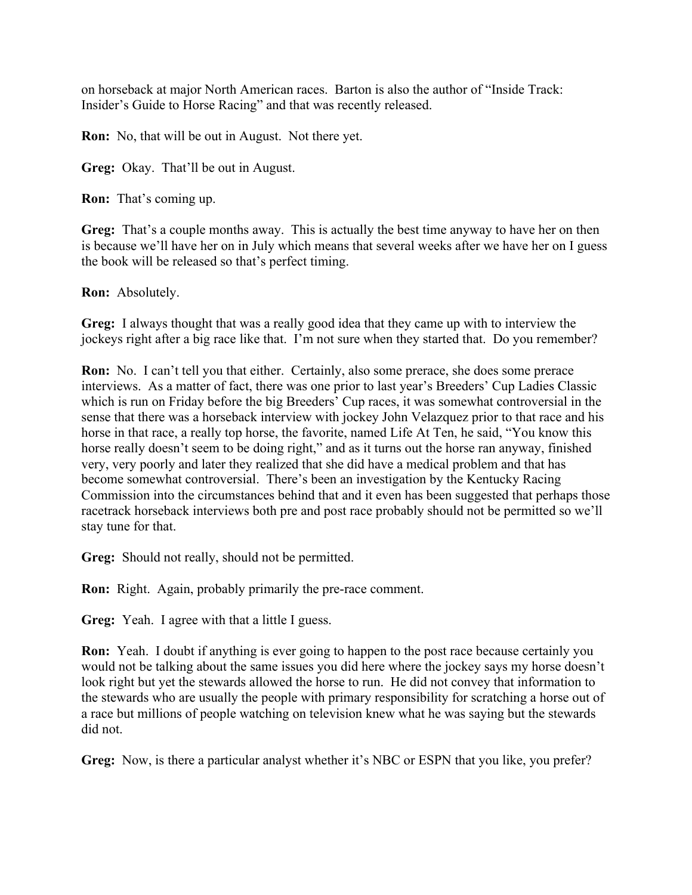on horseback at major North American races. Barton is also the author of "Inside Track: Insider's Guide to Horse Racing" and that was recently released.

**Ron:** No, that will be out in August. Not there yet.

**Greg:** Okay. That'll be out in August.

**Ron:** That's coming up.

**Greg:** That's a couple months away. This is actually the best time anyway to have her on then is because we'll have her on in July which means that several weeks after we have her on I guess the book will be released so that's perfect timing.

**Ron:** Absolutely.

**Greg:** I always thought that was a really good idea that they came up with to interview the jockeys right after a big race like that. I'm not sure when they started that. Do you remember?

**Ron:** No. I can't tell you that either. Certainly, also some prerace, she does some prerace interviews. As a matter of fact, there was one prior to last year's Breeders' Cup Ladies Classic which is run on Friday before the big Breeders' Cup races, it was somewhat controversial in the sense that there was a horseback interview with jockey John Velazquez prior to that race and his horse in that race, a really top horse, the favorite, named Life At Ten, he said, "You know this horse really doesn't seem to be doing right," and as it turns out the horse ran anyway, finished very, very poorly and later they realized that she did have a medical problem and that has become somewhat controversial. There's been an investigation by the Kentucky Racing Commission into the circumstances behind that and it even has been suggested that perhaps those racetrack horseback interviews both pre and post race probably should not be permitted so we'll stay tune for that.

**Greg:** Should not really, should not be permitted.

**Ron:** Right. Again, probably primarily the pre-race comment.

**Greg:** Yeah. I agree with that a little I guess.

**Ron:** Yeah. I doubt if anything is ever going to happen to the post race because certainly you would not be talking about the same issues you did here where the jockey says my horse doesn't look right but yet the stewards allowed the horse to run. He did not convey that information to the stewards who are usually the people with primary responsibility for scratching a horse out of a race but millions of people watching on television knew what he was saying but the stewards did not.

**Greg:** Now, is there a particular analyst whether it's NBC or ESPN that you like, you prefer?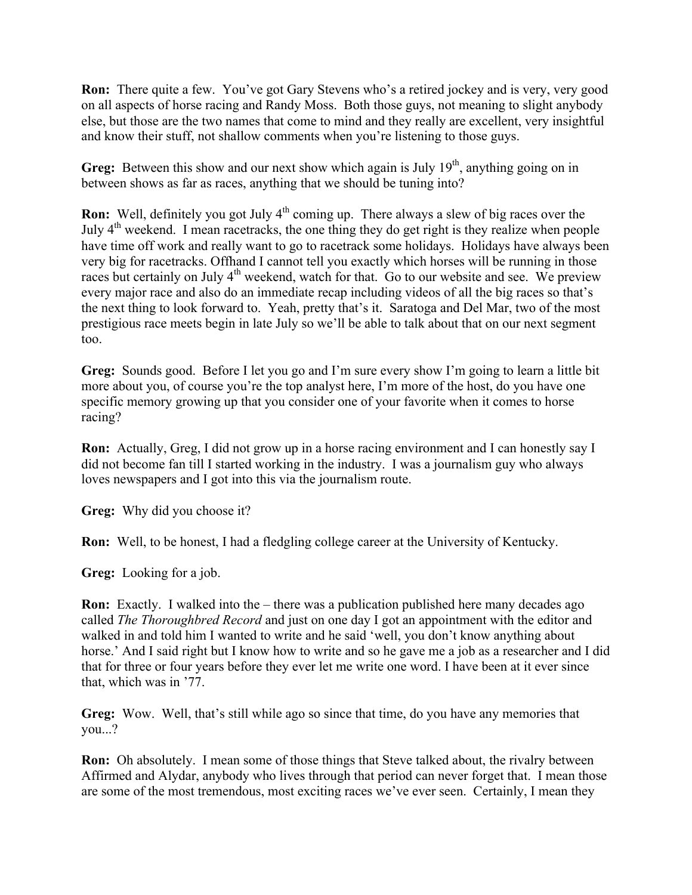**Ron:** There quite a few. You've got Gary Stevens who's a retired jockey and is very, very good on all aspects of horse racing and Randy Moss. Both those guys, not meaning to slight anybody else, but those are the two names that come to mind and they really are excellent, very insightful and know their stuff, not shallow comments when you're listening to those guys.

**Greg:** Between this show and our next show which again is July 19<sup>th</sup>, anything going on in between shows as far as races, anything that we should be tuning into?

**Ron:** Well, definitely you got July 4<sup>th</sup> coming up. There always a slew of big races over the July  $4<sup>th</sup>$  weekend. I mean racetracks, the one thing they do get right is they realize when people have time off work and really want to go to racetrack some holidays. Holidays have always been very big for racetracks. Offhand I cannot tell you exactly which horses will be running in those races but certainly on July  $4<sup>th</sup>$  weekend, watch for that. Go to our website and see. We preview every major race and also do an immediate recap including videos of all the big races so that's the next thing to look forward to. Yeah, pretty that's it. Saratoga and Del Mar, two of the most prestigious race meets begin in late July so we'll be able to talk about that on our next segment too.

**Greg:** Sounds good. Before I let you go and I'm sure every show I'm going to learn a little bit more about you, of course you're the top analyst here, I'm more of the host, do you have one specific memory growing up that you consider one of your favorite when it comes to horse racing?

**Ron:** Actually, Greg, I did not grow up in a horse racing environment and I can honestly say I did not become fan till I started working in the industry. I was a journalism guy who always loves newspapers and I got into this via the journalism route.

**Greg:** Why did you choose it?

**Ron:** Well, to be honest, I had a fledgling college career at the University of Kentucky.

**Greg:** Looking for a job.

**Ron:** Exactly. I walked into the – there was a publication published here many decades ago called *The Thoroughbred Record* and just on one day I got an appointment with the editor and walked in and told him I wanted to write and he said 'well, you don't know anything about horse.' And I said right but I know how to write and so he gave me a job as a researcher and I did that for three or four years before they ever let me write one word. I have been at it ever since that, which was in '77.

**Greg:** Wow. Well, that's still while ago so since that time, do you have any memories that you...?

**Ron:** Oh absolutely. I mean some of those things that Steve talked about, the rivalry between Affirmed and Alydar, anybody who lives through that period can never forget that. I mean those are some of the most tremendous, most exciting races we've ever seen. Certainly, I mean they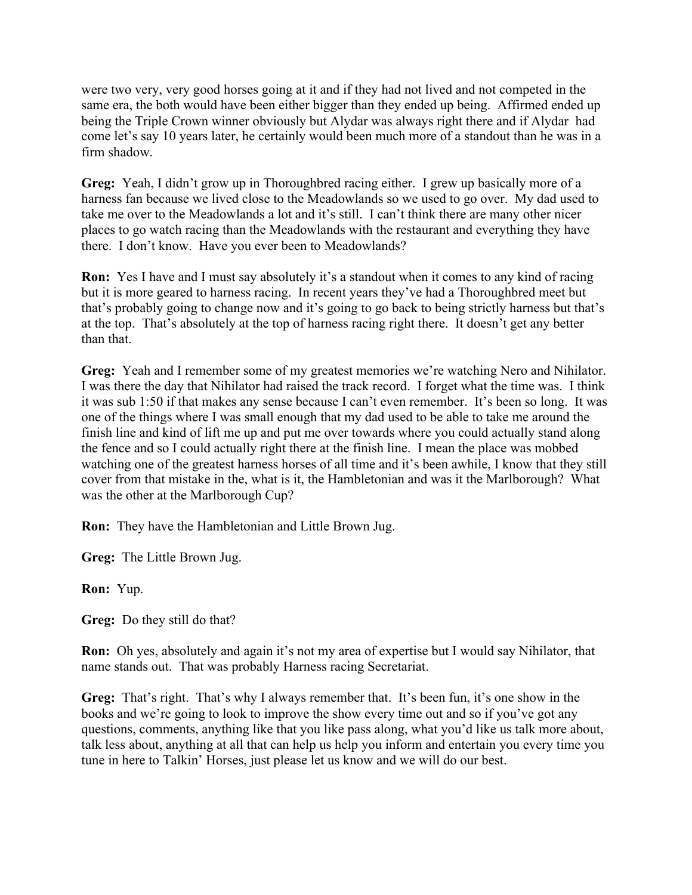were two very, very good horses going at it and if they had not lived and not competed in the same era, the both would have been either bigger than they ended up being. Affirmed ended up being the Triple Crown winner obviously but Alydar was always right there and if Alydar had come let's say 10 years later, he certainly would been much more of a standout than he was in a firm shadow.

**Greg:** Yeah, I didn't grow up in Thoroughbred racing either. I grew up basically more of a harness fan because we lived close to the Meadowlands so we used to go over. My dad used to take me over to the Meadowlands a lot and it's still. I can't think there are many other nicer places to go watch racing than the Meadowlands with the restaurant and everything they have there. I don't know. Have you ever been to Meadowlands?

**Ron:** Yes I have and I must say absolutely it's a standout when it comes to any kind of racing but it is more geared to harness racing. In recent years they've had a Thoroughbred meet but that's probably going to change now and it's going to go back to being strictly harness but that's at the top. That's absolutely at the top of harness racing right there. It doesn't get any better than that.

**Greg:** Yeah and I remember some of my greatest memories we're watching Nero and Nihilator. I was there the day that Nihilator had raised the track record. I forget what the time was. I think it was sub 1:50 if that makes any sense because I can't even remember. It's been so long. It was one of the things where I was small enough that my dad used to be able to take me around the finish line and kind of lift me up and put me over towards where you could actually stand along the fence and so I could actually right there at the finish line. I mean the place was mobbed watching one of the greatest harness horses of all time and it's been awhile, I know that they still cover from that mistake in the, what is it, the Hambletonian and was it the Marlborough? What was the other at the Marlborough Cup?

**Ron:** They have the Hambletonian and Little Brown Jug.

**Greg:** The Little Brown Jug.

**Ron:** Yup.

**Greg:** Do they still do that?

**Ron:** Oh yes, absolutely and again it's not my area of expertise but I would say Nihilator, that name stands out. That was probably Harness racing Secretariat.

**Greg:** That's right. That's why I always remember that. It's been fun, it's one show in the books and we're going to look to improve the show every time out and so if you've got any questions, comments, anything like that you like pass along, what you'd like us talk more about, talk less about, anything at all that can help us help you inform and entertain you every time you tune in here to Talkin' Horses, just please let us know and we will do our best.